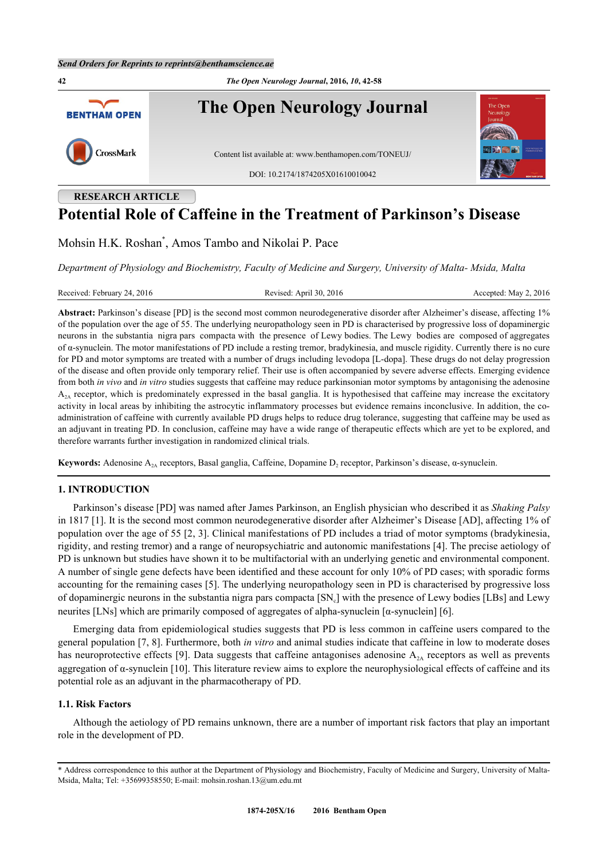**42** *The Open Neurology Journal***, 2016,** *10***, 42-58 The Open Neurology Journal BENTHAM OPEN** CrossMark Content list available at: [www.benthamopen.com/TONEUJ/](http://www.benthamopen.com/TONEUJ/) DOI: [10.2174/1874205X01610010042](http://dx.doi.org/10.2174/1874205X01610010042)

# **RESEARCH ARTICLE Potential Role of Caffeine in the Treatment of Parkinson's Disease**

Mohsin H.K. Roshan[\\*](#page-0-0) , Amos Tambo and Nikolai P. Pace

*Department of Physiology and Biochemistry, Faculty of Medicine and Surgery, University of Malta- Msida, Malta*

| Received: February 24, 2016 | Revised: April 30, 2016 | Accepted: May 2, $2016$ |
|-----------------------------|-------------------------|-------------------------|
|-----------------------------|-------------------------|-------------------------|

**Abstract:** Parkinson's disease [PD] is the second most common neurodegenerative disorder after Alzheimer's disease, affecting 1% of the population over the age of 55. The underlying neuropathology seen in PD is characterised by progressive loss of dopaminergic neurons in the substantia nigra pars compacta with the presence of Lewy bodies. The Lewy bodies are composed of aggregates of α-synuclein. The motor manifestations of PD include a resting tremor, bradykinesia, and muscle rigidity. Currently there is no cure for PD and motor symptoms are treated with a number of drugs including levodopa [L-dopa]. These drugs do not delay progression of the disease and often provide only temporary relief. Their use is often accompanied by severe adverse effects. Emerging evidence from both *in vivo* and *in vitro* studies suggests that caffeine may reduce parkinsonian motor symptoms by antagonising the adenosine  $A<sub>2A</sub>$  receptor, which is predominately expressed in the basal ganglia. It is hypothesised that caffeine may increase the excitatory activity in local areas by inhibiting the astrocytic inflammatory processes but evidence remains inconclusive. In addition, the coadministration of caffeine with currently available PD drugs helps to reduce drug tolerance, suggesting that caffeine may be used as an adjuvant in treating PD. In conclusion, caffeine may have a wide range of therapeutic effects which are yet to be explored, and therefore warrants further investigation in randomized clinical trials.

**Keywords:** Adenosine A<sub>2A</sub> receptors, Basal ganglia, Caffeine, Dopamine D<sub>2</sub> receptor, Parkinson's disease, α-synuclein.

## **1. INTRODUCTION**

Parkinson's disease [PD] was named after James Parkinson, an English physician who described it as *Shaking Palsy* in 1817 [\[1](#page-10-0)]. It is the second most common neurodegenerative disorder after Alzheimer's Disease [AD], affecting 1% of population over the age of 55 [[2,](#page-10-1) [3](#page-10-2)]. Clinical manifestations of PD includes a triad of motor symptoms (bradykinesia, rigidity, and resting tremor) and a range of neuropsychiatric and autonomic manifestations [\[4\]](#page-10-3). The precise aetiology of PD is unknown but studies have shown it to be multifactorial with an underlying genetic and environmental component. A number of single gene defects have been identified and these account for only 10% of PD cases; with sporadic forms accounting for the remaining cases [\[5](#page-10-4)]. The underlying neuropathology seen in PD is characterised by progressive loss of dopaminergic neurons in the substantia nigra pars compacta  $[SN_c]$  with the presence of Lewy bodies [LBs] and Lewy neurites [LNs] which are primarily composed of aggregates of alpha-synuclein [α-synuclein] [[6\]](#page-10-5).

Emerging data from epidemiological studies suggests that PD is less common in caffeine users compared to the general population [\[7](#page-10-6), [8\]](#page-10-7). Furthermore, both *in vitro* and animal studies indicate that caffeine in low to moderate doses has neuroprotective effects [\[9](#page-10-8)]. Data suggests that caffeine antagonises adenosine  $A_{2A}$  receptors as well as prevents aggregation of α-synuclein [[10\]](#page-10-9). This literature review aims to explore the neurophysiological effects of caffeine and its potential role as an adjuvant in the pharmacotherapy of PD.

## **1.1. Risk Factors**

Although the aetiology of PD remains unknown, there are a number of important risk factors that play an important role in the development of PD.

<span id="page-0-0"></span><sup>\*</sup> Address correspondence to this author at the Department of Physiology and Biochemistry, Faculty of Medicine and Surgery, University of Malta-Msida, Malta; Tel: +35699358550; E-mail: [mohsin.roshan.13@um.edu.mt](mailto:mohsin.roshan.13@um.edu.mt)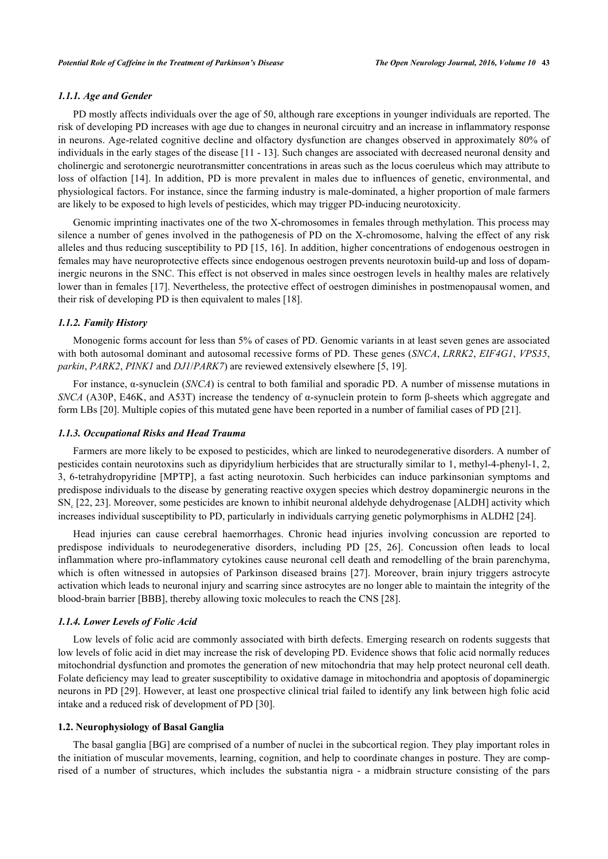## *1.1.1. Age and Gender*

PD mostly affects individuals over the age of 50, although rare exceptions in younger individuals are reported. The risk of developing PD increases with age due to changes in neuronal circuitry and an increase in inflammatory response in neurons. Age-related cognitive decline and olfactory dysfunction are changes observed in approximately 80% of individuals in the early stages of the disease [\[11](#page-10-10) - [13\]](#page-10-11). Such changes are associated with decreased neuronal density and cholinergic and serotonergic neurotransmitter concentrations in areas such as the locus coeruleus which may attribute to loss of olfaction [[14\]](#page-10-12). In addition, PD is more prevalent in males due to influences of genetic, environmental, and physiological factors. For instance, since the farming industry is male-dominated, a higher proportion of male farmers are likely to be exposed to high levels of pesticides, which may trigger PD-inducing neurotoxicity.

Genomic imprinting inactivates one of the two X-chromosomes in females through methylation. This process may silence a number of genes involved in the pathogenesis of PD on the X-chromosome, halving the effect of any risk alleles and thus reducing susceptibility to PD [\[15](#page-10-13), [16\]](#page-10-14). In addition, higher concentrations of endogenous oestrogen in females may have neuroprotective effects since endogenous oestrogen prevents neurotoxin build-up and loss of dopaminergic neurons in the SNC. This effect is not observed in males since oestrogen levels in healthy males are relatively lower than in females [[17\]](#page-10-15). Nevertheless, the protective effect of oestrogen diminishes in postmenopausal women, and their risk of developing PD is then equivalent to males [[18\]](#page-10-16).

## *1.1.2. Family History*

Monogenic forms account for less than 5% of cases of PD. Genomic variants in at least seven genes are associated with both autosomal dominant and autosomal recessive forms of PD. These genes (*SNCA*, *LRRK2*, *EIF4G1*, *VPS35*, *parkin*, *PARK2*, *PINK1* and *DJ1*/*PARK7*) are reviewed extensively elsewhere [\[5](#page-10-4), [19](#page-10-17)].

For instance, α-synuclein (*SNCA*) is central to both familial and sporadic PD. A number of missense mutations in *SNCA* (A30P, E46K, and A53T) increase the tendency of α-synuclein protein to form β-sheets which aggregate and form LBs [\[20](#page-11-0)]. Multiple copies of this mutated gene have been reported in a number of familial cases of PD [[21\]](#page-11-1).

## *1.1.3. Occupational Risks and Head Trauma*

Farmers are more likely to be exposed to pesticides, which are linked to neurodegenerative disorders. A number of pesticides contain neurotoxins such as dipyridylium herbicides that are structurally similar to 1, methyl-4-phenyl-1, 2, 3, 6-tetrahydropyridine [MPTP], a fast acting neurotoxin. Such herbicides can induce parkinsonian symptoms and predispose individuals to the disease by generating reactive oxygen species which destroy dopaminergic neurons in the SN<sub>c</sub> [[22,](#page-11-2) [23\]](#page-11-3). Moreover, some pesticides are known to inhibit neuronal aldehyde dehydrogenase [ALDH] activity which increases individual susceptibility to PD, particularly in individuals carrying genetic polymorphisms in ALDH2 [\[24](#page-11-4)].

Head injuries can cause cerebral haemorrhages. Chronic head injuries involving concussion are reported to predispose individuals to neurodegenerative disorders, including PD[[25](#page-11-5), [26](#page-11-6)]. Concussion often leads to local inflammation where pro-inflammatory cytokines cause neuronal cell death and remodelling of the brain parenchyma, which is often witnessed in autopsies of Parkinson diseased brains [[27\]](#page-11-7). Moreover, brain injury triggers astrocyte activation which leads to neuronal injury and scarring since astrocytes are no longer able to maintain the integrity of the blood-brain barrier [BBB], thereby allowing toxic molecules to reach the CNS [[28\]](#page-11-8).

## *1.1.4. Lower Levels of Folic Acid*

Low levels of folic acid are commonly associated with birth defects. Emerging research on rodents suggests that low levels of folic acid in diet may increase the risk of developing PD. Evidence shows that folic acid normally reduces mitochondrial dysfunction and promotes the generation of new mitochondria that may help protect neuronal cell death. Folate deficiency may lead to greater susceptibility to oxidative damage in mitochondria and apoptosis of dopaminergic neurons in PD [[29\]](#page-11-9). However, at least one prospective clinical trial failed to identify any link between high folic acid intake and a reduced risk of development of PD [[30\]](#page-11-10).

#### **1.2. Neurophysiology of Basal Ganglia**

The basal ganglia [BG] are comprised of a number of nuclei in the subcortical region. They play important roles in the initiation of muscular movements, learning, cognition, and help to coordinate changes in posture. They are comprised of a number of structures, which includes the substantia nigra - a midbrain structure consisting of the pars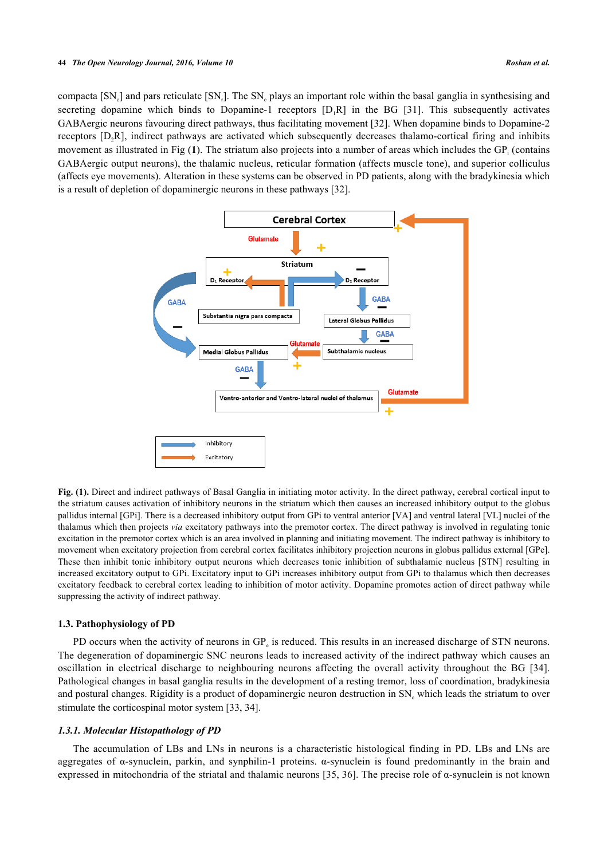#### **44** *The Open Neurology Journal, 2016, Volume 10 Roshan et al.*

<span id="page-2-0"></span>compacta [SN<sub>c</sub>] and pars reticulate [SN<sub>r</sub>]. The SN<sub>c</sub> plays an important role within the basal ganglia in synthesising and secretingdopamine which binds to Dopamine-1 receptors  $[D,R]$  in the BG [[31\]](#page-11-11). This subsequently activates GABAergic neurons favouring direct pathways, thus facilitating movement [\[32](#page-11-12)]. When dopamine binds to Dopamine-2 receptors [D<sub>2</sub>R], indirect pathways are activated which subsequently decreases thalamo-cortical firing and inhibits movement as illustrated in Fig ([1](#page-2-0)). The striatum also projects into a number of areas which includes the GP<sub>i</sub> (contains GABAergic output neurons), the thalamic nucleus, reticular formation (affects muscle tone), and superior colliculus (affects eye movements). Alteration in these systems can be observed in PD patients, along with the bradykinesia which is a result of depletion of dopaminergic neurons in these pathways [\[32](#page-11-12)].



**Fig. (1).** Direct and indirect pathways of Basal Ganglia in initiating motor activity. In the direct pathway, cerebral cortical input to the striatum causes activation of inhibitory neurons in the striatum which then causes an increased inhibitory output to the globus pallidus internal [GPi]. There is a decreased inhibitory output from GPi to ventral anterior [VA] and ventral lateral [VL] nuclei of the thalamus which then projects *via* excitatory pathways into the premotor cortex. The direct pathway is involved in regulating tonic excitation in the premotor cortex which is an area involved in planning and initiating movement. The indirect pathway is inhibitory to movement when excitatory projection from cerebral cortex facilitates inhibitory projection neurons in globus pallidus external [GPe]. These then inhibit tonic inhibitory output neurons which decreases tonic inhibition of subthalamic nucleus [STN] resulting in increased excitatory output to GPi. Excitatory input to GPi increases inhibitory output from GPi to thalamus which then decreases excitatory feedback to cerebral cortex leading to inhibition of motor activity. Dopamine promotes action of direct pathway while suppressing the activity of indirect pathway.

## **1.3. Pathophysiology of PD**

PD occurs when the activity of neurons in GP<sub>e</sub> is reduced. This results in an increased discharge of STN neurons. The degeneration of dopaminergic SNC neurons leads to increased activity of the indirect pathway which causes an oscillation in electrical discharge to neighbouring neurons affecting the overall activity throughout the BG [\[34\]](#page-11-13). Pathological changes in basal ganglia results in the development of a resting tremor, loss of coordination, bradykinesia and postural changes. Rigidity is a product of dopaminergic neuron destruction in  $SN_c$  which leads the striatum to over stimulate the corticospinal motor system [[33,](#page-11-14) [34\]](#page-11-13).

## *1.3.1. Molecular Histopathology of PD*

The accumulation of LBs and LNs in neurons is a characteristic histological finding in PD. LBs and LNs are aggregates of α-synuclein, parkin, and synphilin-1 proteins. α-synuclein is found predominantly in the brain and expressed in mitochondria of the striatal and thalamic neurons [\[35,](#page-11-15) [36](#page-11-16)]. The precise role of α-synuclein is not known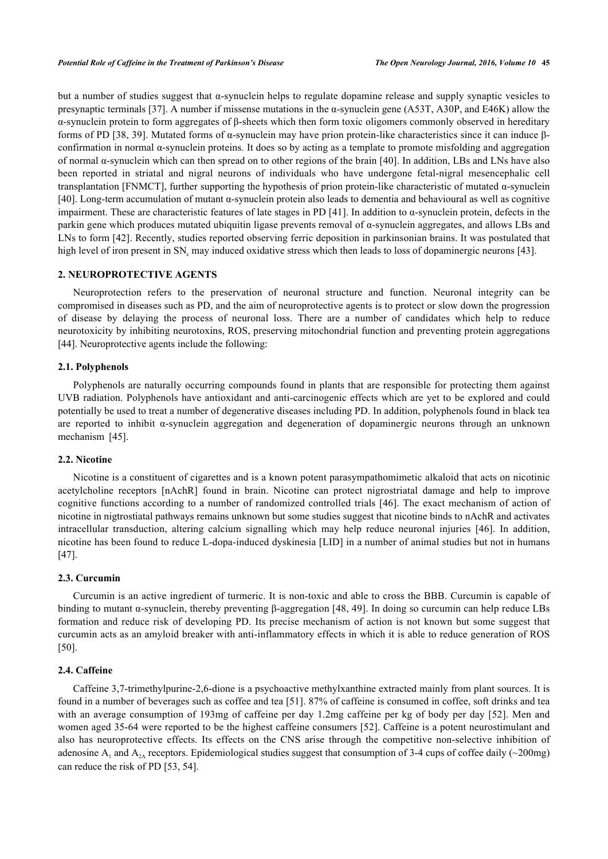but a number of studies suggest that α-synuclein helps to regulate dopamine release and supply synaptic vesicles to presynaptic terminals [[37\]](#page-11-17). A number if missense mutations in the α-synuclein gene (A53T, A30P, and E46K) allow the α-synuclein protein to form aggregates of β-sheets which then form toxic oligomers commonly observed in hereditary forms of PD [[38,](#page-11-18) [39](#page-11-19)]. Mutated forms of α-synuclein may have prion protein-like characteristics since it can induce βconfirmation in normal α-synuclein proteins. It does so by acting as a template to promote misfolding and aggregation of normal α-synuclein which can then spread on to other regions of the brain [\[40](#page-12-0)]. In addition, LBs and LNs have also been reported in striatal and nigral neurons of individuals who have undergone fetal-nigral mesencephalic cell transplantation [FNMCT], further supporting the hypothesis of prion protein-like characteristic of mutated α-synuclein [\[40](#page-12-0)]. Long-term accumulation of mutant α-synuclein protein also leads to dementia and behavioural as well as cognitive impairment. These are characteristic features of late stages in PD [\[41\]](#page-12-1). In addition to  $\alpha$ -synuclein protein, defects in the parkin gene which produces mutated ubiquitin ligase prevents removal of  $\alpha$ -synuclein aggregates, and allows LBs and LNs to form [[42\]](#page-12-2). Recently, studies reported observing ferric deposition in parkinsonian brains. It was postulated that high level of iron present in SN<sub>c</sub> may induced oxidative stress which then leads to loss of dopaminergic neurons [[43\]](#page-12-3).

## **2. NEUROPROTECTIVE AGENTS**

Neuroprotection refers to the preservation of neuronal structure and function. Neuronal integrity can be compromised in diseases such as PD, and the aim of neuroprotective agents is to protect or slow down the progression of disease by delaying the process of neuronal loss. There are a number of candidates which help to reduce neurotoxicity by inhibiting neurotoxins, ROS, preserving mitochondrial function and preventing protein aggregations [\[44](#page-12-4)]. Neuroprotective agents include the following:

## **2.1. Polyphenols**

Polyphenols are naturally occurring compounds found in plants that are responsible for protecting them against UVB radiation. Polyphenols have antioxidant and anti-carcinogenic effects which are yet to be explored and could potentially be used to treat a number of degenerative diseases including PD. In addition, polyphenols found in black tea are reported to inhibit α-synuclein aggregation and degeneration of dopaminergic neurons through an unknown mechanism [\[45](#page-12-5)].

## **2.2. Nicotine**

Nicotine is a constituent of cigarettes and is a known potent parasympathomimetic alkaloid that acts on nicotinic acetylcholine receptors [nAchR] found in brain. Nicotine can protect nigrostriatal damage and help to improve cognitive functions according to a number of randomized controlled trials [[46](#page-12-6)]. The exact mechanism of action of nicotine in nigtrostiatal pathways remains unknown but some studies suggest that nicotine binds to nAchR and activates intracellular transduction, altering calcium signalling which may help reduce neuronal injuries[[46](#page-12-6)]. In addition, nicotine has been found to reduce L-dopa-induced dyskinesia [LID] in a number of animal studies but not in humans [\[47](#page-12-7)].

## **2.3. Curcumin**

Curcumin is an active ingredient of turmeric. It is non-toxic and able to cross the BBB. Curcumin is capable of binding to mutant α-synuclein, thereby preventing β-aggregation [[48](#page-12-8), [49\]](#page-12-9). In doing so curcumin can help reduce LBs formation and reduce risk of developing PD. Its precise mechanism of action is not known but some suggest that curcumin acts as an amyloid breaker with anti-inflammatory effects in which it is able to reduce generation of ROS [\[50](#page-12-10)].

## **2.4. Caffeine**

Caffeine 3,7-trimethylpurine-2,6-dione is a psychoactive methylxanthine extracted mainly from plant sources. It is found in a number of beverages such as coffee and tea [[51\]](#page-12-11). 87% of caffeine is consumed in coffee, soft drinks and tea with an average consumption of 193mg of caffeine per day 1.2mg caffeine per kg of body per day [[52](#page-12-12)]. Men and women aged 35-64 were reported to be the highest caffeine consumers [\[52](#page-12-12)]. Caffeine is a potent neurostimulant and also has neuroprotective effects. Its effects on the CNS arise through the competitive non-selective inhibition of adenosine  $A_1$  and  $A_{2A}$  receptors. Epidemiological studies suggest that consumption of 3-4 cups of coffee daily (~200mg) can reduce the risk of PD [[53,](#page-12-13) [54\]](#page-12-14).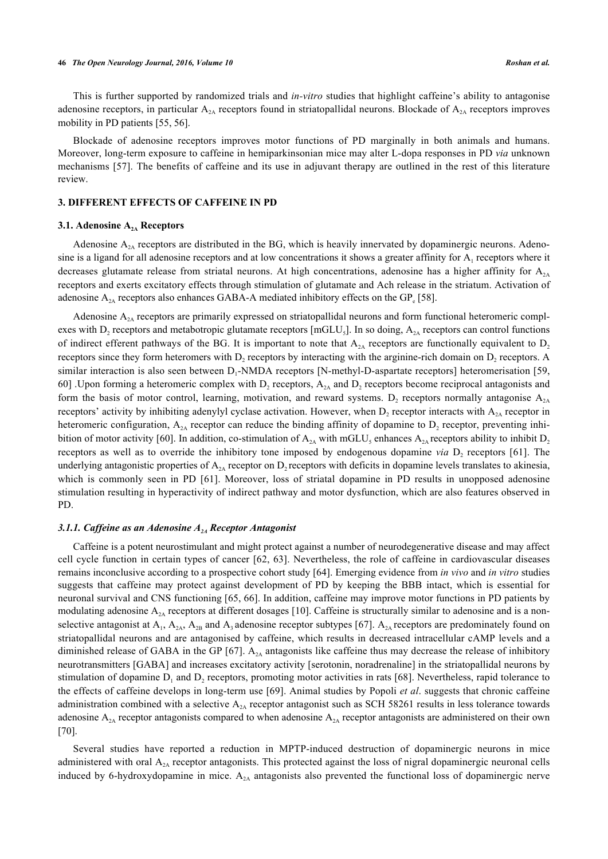This is further supported by randomized trials and *in-vitro* studies that highlight caffeine's ability to antagonise adenosine receptors, in particular  $A_{2A}$  receptors found in striatopallidal neurons. Blockade of  $A_{2A}$  receptors improves mobility in PD patients [[55,](#page-12-15) [56\]](#page-12-16).

Blockade of adenosine receptors improves motor functions of PD marginally in both animals and humans. Moreover, long-term exposure to caffeine in hemiparkinsonian mice may alter L-dopa responses in PD *via* unknown mechanisms [\[57](#page-12-17)]. The benefits of caffeine and its use in adjuvant therapy are outlined in the rest of this literature review.

## **3. DIFFERENT EFFECTS OF CAFFEINE IN PD**

#### **3.1. Adenosine A2A Receptors**

Adenosine  $A_{2A}$  receptors are distributed in the BG, which is heavily innervated by dopaminergic neurons. Adenosine is a ligand for all adenosine receptors and at low concentrations it shows a greater affinity for  $A_1$  receptors where it decreases glutamate release from striatal neurons. At high concentrations, adenosine has a higher affinity for  $A_{2A}$ receptors and exerts excitatory effects through stimulation of glutamate and Ach release in the striatum. Activation of adenosine  $A_{2A}$  receptors also enhances GABA-A mediated inhibitory effects on the GP<sub>e</sub> [\[58](#page-12-18)].

Adenosine  $A_{2A}$  receptors are primarily expressed on striatopallidal neurons and form functional heteromeric complexes with  $D_2$  receptors and metabotropic glutamate receptors [mGLU<sub>5</sub>]. In so doing,  $A_{2A}$  receptors can control functions of indirect efferent pathways of the BG. It is important to note that  $A_{2A}$  receptors are functionally equivalent to  $D_2$ receptors since they form heteromers with  $D_2$  receptors by interacting with the arginine-rich domain on  $D_2$  receptors. A similar interaction is also seen between D<sub>1</sub>-NMDA receptors [N-methyl-D-aspartate receptors] heteromerisation [[59](#page-12-19), [60\]](#page-12-20) Upon forming a heteromeric complex with  $D_2$  receptors,  $A_{2A}$  and  $D_2$  receptors become reciprocal antagonists and form the basis of motor control, learning, motivation, and reward systems.  $D_2$  receptors normally antagonise  $A_{2A}$ receptors' activity by inhibiting adenylyl cyclase activation. However, when  $D_2$  receptor interacts with  $A_{2A}$  receptor in heteromeric configuration,  $A_{2A}$  receptor can reduce the binding affinity of dopamine to  $D_2$  receptor, preventing inhi-bition of motor activity [\[60\]](#page-12-20). In addition, co-stimulation of  $A_{2A}$  with mGLU<sub>5</sub> enhances  $A_{2A}$  receptors ability to inhibit  $D_2$ receptorsas well as to override the inhibitory tone imposed by endogenous dopamine *via* D<sub>2</sub> receptors [[61\]](#page-13-0). The underlying antagonistic properties of  $A_{2A}$  receptor on D<sub>2</sub> receptors with deficits in dopamine levels translates to akinesia, whichis commonly seen in PD [[61](#page-13-0)]. Moreover, loss of striatal dopamine in PD results in unopposed adenosine stimulation resulting in hyperactivity of indirect pathway and motor dysfunction, which are also features observed in PD.

## *3.1.1. Caffeine as an Adenosine A2A Receptor Antagonist*

Caffeine is a potent neurostimulant and might protect against a number of neurodegenerative disease and may affect cell cycle function in certain types of cancer [\[62,](#page-13-1) [63\]](#page-13-2). Nevertheless, the role of caffeine in cardiovascular diseases remains inconclusive according to a prospective cohort study [[64\]](#page-13-3). Emerging evidence from *in vivo* and *in vitro* studies suggests that caffeine may protect against development of PD by keeping the BBB intact, which is essential for neuronal survival and CNS functioning [\[65,](#page-13-4) [66](#page-13-5)]. In addition, caffeine may improve motor functions in PD patients by modulating adenosine  $A_{2A}$  receptors at different dosages [\[10](#page-10-9)]. Caffeine is structurally similar to adenosine and is a nonselective antagonist at  $A_1$ ,  $A_{2A}$ ,  $A_{2B}$  and  $A_3$  adenosine receptor subtypes [[67](#page-13-6)].  $A_{2A}$  receptors are predominately found on striatopallidal neurons and are antagonised by caffeine, which results in decreased intracellular cAMP levels and a diminished release of GABA in the GP [[67](#page-13-6)].  $A_{2A}$  antagonists like caffeine thus may decrease the release of inhibitory neurotransmitters [GABA] and increases excitatory activity [serotonin, noradrenaline] in the striatopallidal neurons by stimulation of dopamine  $D_1$  and  $D_2$  receptors, promoting motor activities in rats [[68\]](#page-13-7). Nevertheless, rapid tolerance to the effects of caffeine develops in long-term use [\[69](#page-13-8)]. Animal studies by Popoli *et al*. suggests that chronic caffeine administration combined with a selective  $A_{2A}$  receptor antagonist such as SCH 58261 results in less tolerance towards adenosine  $A_{2A}$  receptor antagonists compared to when adenosine  $A_{2A}$  receptor antagonists are administered on their own [\[70](#page-13-9)].

Several studies have reported a reduction in MPTP-induced destruction of dopaminergic neurons in mice administered with oral  $A_{2A}$  receptor antagonists. This protected against the loss of nigral dopaminergic neuronal cells induced by 6-hydroxydopamine in mice.  $A_{2A}$  antagonists also prevented the functional loss of dopaminergic nerve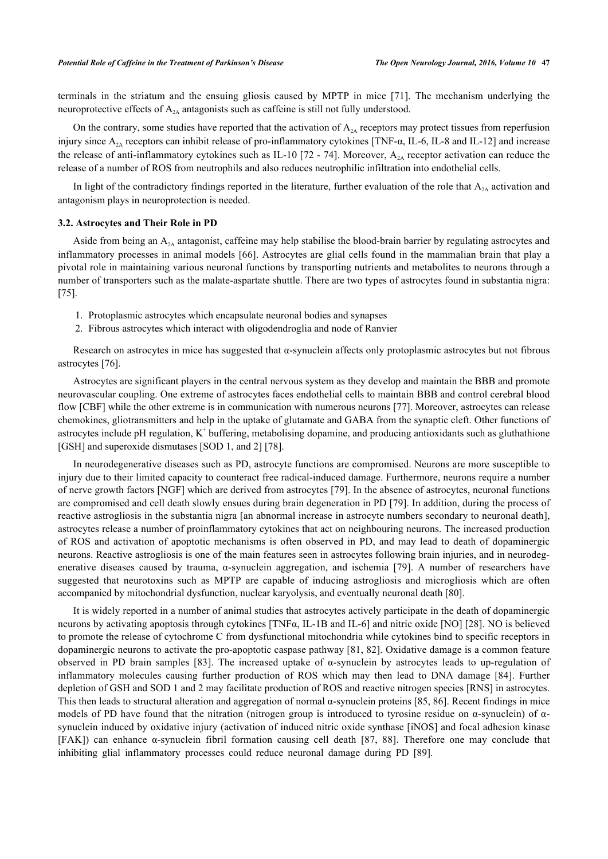terminals in the striatum and the ensuing gliosis caused by MPTP in mice[[71](#page-13-10)]. The mechanism underlying the neuroprotective effects of  $A_{2A}$  antagonists such as caffeine is still not fully understood.

On the contrary, some studies have reported that the activation of  $A_{2A}$  receptors may protect tissues from reperfusion injury since  $A_{2A}$  receptors can inhibit release of pro-inflammatory cytokines [TNF- $\alpha$ , IL-6, IL-8 and IL-12] and increase the release of anti-inflammatory cytokines such as IL-10 [\[72](#page-13-11) - [74](#page-13-12)]. Moreover,  $A_{2A}$  receptor activation can reduce the release of a number of ROS from neutrophils and also reduces neutrophilic infiltration into endothelial cells.

In light of the contradictory findings reported in the literature, further evaluation of the role that  $A_{2A}$  activation and antagonism plays in neuroprotection is needed.

#### **3.2. Astrocytes and Their Role in PD**

Aside from being an  $A_{2A}$  antagonist, caffeine may help stabilise the blood-brain barrier by regulating astrocytes and inflammatory processes in animal models [\[66](#page-13-5)]. Astrocytes are glial cells found in the mammalian brain that play a pivotal role in maintaining various neuronal functions by transporting nutrients and metabolites to neurons through a number of transporters such as the malate-aspartate shuttle. There are two types of astrocytes found in substantia nigra: [\[75](#page-13-13)].

- 1. Protoplasmic astrocytes which encapsulate neuronal bodies and synapses
- 2. Fibrous astrocytes which interact with oligodendroglia and node of Ranvier

Research on astrocytes in mice has suggested that α-synuclein affects only protoplasmic astrocytes but not fibrous astrocytes [[76\]](#page-13-14).

Astrocytes are significant players in the central nervous system as they develop and maintain the BBB and promote neurovascular coupling. One extreme of astrocytes faces endothelial cells to maintain BBB and control cerebral blood flow [CBF] while the other extreme is in communication with numerous neurons [\[77](#page-13-15)]. Moreover, astrocytes can release chemokines, gliotransmitters and help in the uptake of glutamate and GABA from the synaptic cleft. Other functions of astrocytes include pH regulation,  $K^+$  buffering, metabolising dopamine, and producing antioxidants such as gluthathione [GSH] and superoxide dismutases [SOD 1, and 2] [\[78](#page-13-16)].

In neurodegenerative diseases such as PD, astrocyte functions are compromised. Neurons are more susceptible to injury due to their limited capacity to counteract free radical-induced damage. Furthermore, neurons require a number of nerve growth factors [NGF] which are derived from astrocytes [\[79](#page-13-17)]. In the absence of astrocytes, neuronal functions are compromised and cell death slowly ensues during brain degeneration in PD [[79\]](#page-13-17). In addition, during the process of reactive astrogliosis in the substantia nigra [an abnormal increase in astrocyte numbers secondary to neuronal death], astrocytes release a number of proinflammatory cytokines that act on neighbouring neurons. The increased production of ROS and activation of apoptotic mechanisms is often observed in PD, and may lead to death of dopaminergic neurons. Reactive astrogliosis is one of the main features seen in astrocytes following brain injuries, and in neurodegenerative diseases caused by trauma, α-synuclein aggregation, and ischemia[[79\]](#page-13-17). A number of researchers have suggested that neurotoxins such as MPTP are capable of inducing astrogliosis and microgliosis which are often accompanied by mitochondrial dysfunction, nuclear karyolysis, and eventually neuronal death [\[80](#page-13-18)].

It is widely reported in a number of animal studies that astrocytes actively participate in the death of dopaminergic neurons by activating apoptosis through cytokines [TNFα, IL-1B and IL-6] and nitric oxide [NO] [[28](#page-11-8)]. NO is believed to promote the release of cytochrome C from dysfunctional mitochondria while cytokines bind to specific receptors in dopaminergic neurons to activate the pro-apoptotic caspase pathway [\[81](#page-13-19), [82\]](#page-14-0). Oxidative damage is a common feature observed in PD brain samples [\[83](#page-14-1)]. The increased uptake of α-synuclein by astrocytes leads to up-regulation of inflammatory molecules causing further production of ROS which may then lead to DNA damage[[84](#page-14-2)]. Further depletion of GSH and SOD 1 and 2 may facilitate production of ROS and reactive nitrogen species [RNS] in astrocytes. This then leads to structural alteration and aggregation of normal α-synuclein proteins [[85](#page-14-3), [86](#page-14-4)]. Recent findings in mice models of PD have found that the nitration (nitrogen group is introduced to tyrosine residue on  $\alpha$ -synuclein) of  $\alpha$ synuclein induced by oxidative injury (activation of induced nitric oxide synthase [iNOS] and focal adhesion kinase [FAK]) can enhance α-synuclein fibril formation causing cell death[[87](#page-14-5), [88\]](#page-14-6). Therefore one may conclude that inhibiting glial inflammatory processes could reduce neuronal damage during PD [\[89](#page-14-7)].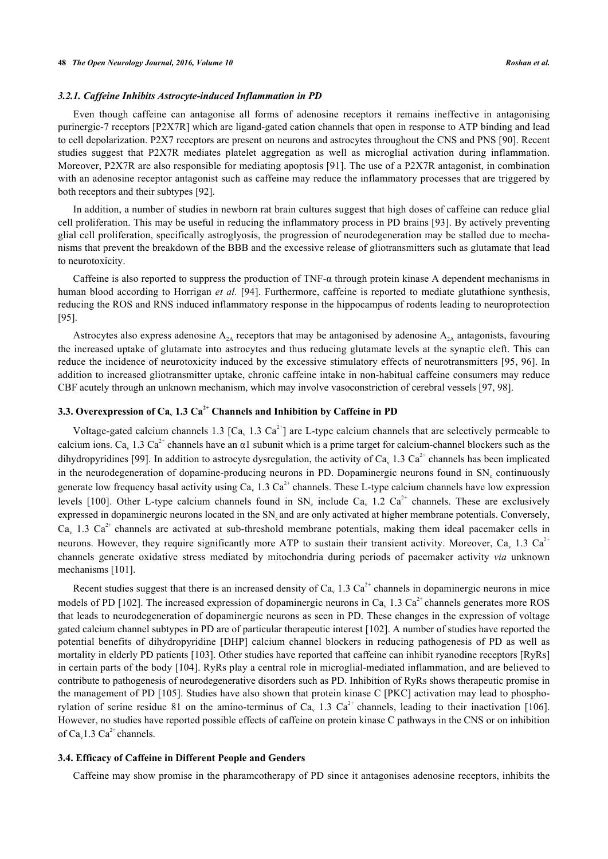## *3.2.1. Caffeine Inhibits Astrocyte-induced Inflammation in PD*

Even though caffeine can antagonise all forms of adenosine receptors it remains ineffective in antagonising purinergic-7 receptors [P2X7R] which are ligand-gated cation channels that open in response to ATP binding and lead to cell depolarization. P2X7 receptors are present on neurons and astrocytes throughout the CNS and PNS [[90](#page-14-8)]. Recent studies suggest that P2X7R mediates platelet aggregation as well as microglial activation during inflammation. Moreover, P2X7R are also responsible for mediating apoptosis [\[91](#page-14-9)]. The use of a P2X7R antagonist, in combination with an adenosine receptor antagonist such as caffeine may reduce the inflammatory processes that are triggered by both receptors and their subtypes [[92\]](#page-14-10).

In addition, a number of studies in newborn rat brain cultures suggest that high doses of caffeine can reduce glial cell proliferation. This may be useful in reducing the inflammatory process in PD brains [\[93](#page-14-11)]. By actively preventing glial cell proliferation, specifically astroglyosis, the progression of neurodegeneration may be stalled due to mechanisms that prevent the breakdown of the BBB and the excessive release of gliotransmitters such as glutamate that lead to neurotoxicity.

Caffeine is also reported to suppress the production of TNF- $\alpha$  through protein kinase A dependent mechanisms in human blood according to Horrigan *et al.* [\[94\]](#page-14-12). Furthermore, caffeine is reported to mediate glutathione synthesis, reducing the ROS and RNS induced inflammatory response in the hippocampus of rodents leading to neuroprotection [\[95](#page-14-13)].

Astrocytes also express adenosine  $A_{2A}$  receptors that may be antagonised by adenosine  $A_{2A}$  antagonists, favouring the increased uptake of glutamate into astrocytes and thus reducing glutamate levels at the synaptic cleft. This can reduce the incidence of neurotoxicity induced by the excessive stimulatory effects of neurotransmitters [\[95,](#page-14-13) [96\]](#page-14-14). In addition to increased gliotransmitter uptake, chronic caffeine intake in non-habitual caffeine consumers may reduce CBF acutely through an unknown mechanism, which may involve vasoconstriction of cerebral vessels [\[97](#page-14-15), [98](#page-14-16)].

## **3.3. Overexpression of Ca<sup>v</sup> 1.3 Ca2+ Channels and Inhibition by Caffeine in PD**

Voltage-gated calcium channels 1.3 [Ca<sub>v</sub> 1.3 Ca<sup>2+</sup>] are L-type calcium channels that are selectively permeable to calcium ions. Ca, 1.3 Ca<sup>2+</sup> channels have an  $\alpha$ 1 subunit which is a prime target for calcium-channel blockers such as the dihydropyridines [[99](#page-14-17)]. In addition to astrocyte dysregulation, the activity of Ca<sub>v</sub> 1.3 Ca<sup>2+</sup> channels has been implicated in the neurodegeneration of dopamine-producing neurons in PD. Dopaminergic neurons found in SN<sub>c</sub> continuously generate low frequency basal activity using  $Ca_v 1.3 Ca^{2+}$  channels. These L-type calcium channels have low expression levels [\[100\]](#page-14-18). Other L-type calcium channels found in SN<sub>c</sub> include Ca<sub>v</sub> 1.2 Ca<sup>2+</sup> channels. These are exclusively expressed in dopaminergic neurons located in the SN, and are only activated at higher membrane potentials. Conversely,  $Ca<sub>v</sub>$  1.3  $Ca<sup>2+</sup>$  channels are activated at sub-threshold membrane potentials, making them ideal pacemaker cells in neurons. However, they require significantly more ATP to sustain their transient activity. Moreover, Ca, 1.3 Ca<sup>2+</sup> channels generate oxidative stress mediated by mitochondria during periods of pacemaker activity *via* unknown mechanisms [[101\]](#page-14-19).

Recent studies suggest that there is an increased density of  $Ca<sub>v</sub> 1.3 Ca<sup>2+</sup>$  channels in dopaminergic neurons in mice models of PD [\[102](#page-15-0)]. The increased expression of dopaminergic neurons in Ca<sub>v</sub> 1.3 Ca<sup>2+</sup> channels generates more ROS that leads to neurodegeneration of dopaminergic neurons as seen in PD. These changes in the expression of voltage gated calcium channel subtypes in PD are of particular therapeutic interest [\[102](#page-15-0)]. A number of studies have reported the potential benefits of dihydropyridine [DHP] calcium channel blockers in reducing pathogenesis of PD as well as mortality in elderly PD patients [\[103\]](#page-15-1). Other studies have reported that caffeine can inhibit ryanodine receptors [RyRs] in certain parts of the body [[104](#page-15-2)]. RyRs play a central role in microglial-mediated inflammation, and are believed to contribute to pathogenesis of neurodegenerative disorders such as PD. Inhibition of RyRs shows therapeutic promise in the management of PD [\[105](#page-15-3)]. Studies have also shown that protein kinase C [PKC] activation may lead to phospho-rylation of serine residue 81 on the amino-terminus of Ca<sub>v</sub> 1.3 Ca<sup>2+</sup> channels, leading to their inactivation [\[106\]](#page-15-4). However, no studies have reported possible effects of caffeine on protein kinase C pathways in the CNS or on inhibition of Ca<sub>v</sub>1.3 Ca<sup>2+</sup> channels.

## **3.4. Efficacy of Caffeine in Different People and Genders**

Caffeine may show promise in the pharamcotherapy of PD since it antagonises adenosine receptors, inhibits the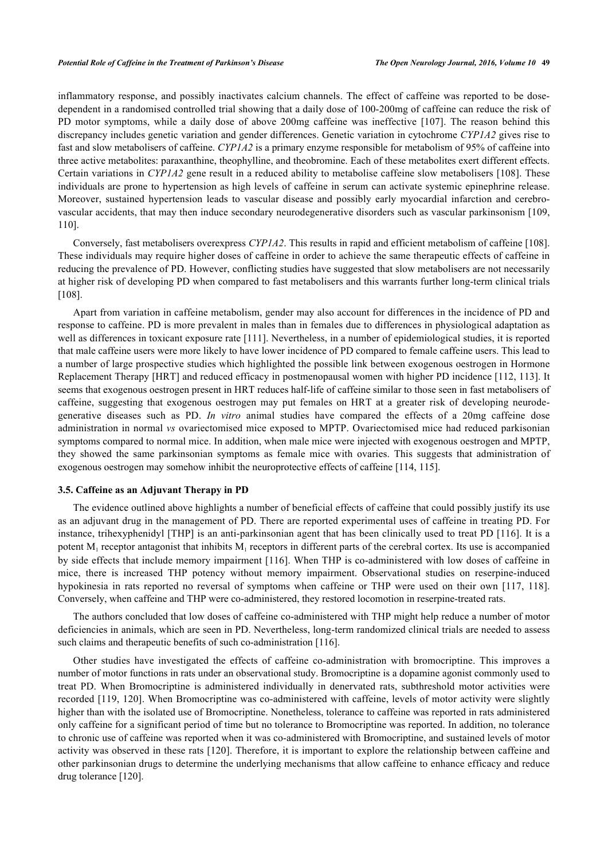inflammatory response, and possibly inactivates calcium channels. The effect of caffeine was reported to be dosedependent in a randomised controlled trial showing that a daily dose of 100-200mg of caffeine can reduce the risk of PD motor symptoms, while a daily dose of above 200mg caffeine was ineffective[[107](#page-15-5)]. The reason behind this discrepancy includes genetic variation and gender differences. Genetic variation in cytochrome *CYP1A2* gives rise to fast and slow metabolisers of caffeine. *CYP1A2* is a primary enzyme responsible for metabolism of 95% of caffeine into three active metabolites: paraxanthine, theophylline, and theobromine. Each of these metabolites exert different effects. Certain variations in *CYP1A2* gene result in a reduced ability to metabolise caffeine slow metabolisers [[108](#page-15-6)]. These individuals are prone to hypertension as high levels of caffeine in serum can activate systemic epinephrine release. Moreover, sustained hypertension leads to vascular disease and possibly early myocardial infarction and cerebrovascular accidents, that may then induce secondary neurodegenerative disorders such as vascular parkinsonism [[109](#page-15-7), [110\]](#page-15-8).

Conversely, fast metabolisers overexpress *CYP1A2*. This results in rapid and efficient metabolism of caffeine [[108\]](#page-15-6). These individuals may require higher doses of caffeine in order to achieve the same therapeutic effects of caffeine in reducing the prevalence of PD. However, conflicting studies have suggested that slow metabolisers are not necessarily at higher risk of developing PD when compared to fast metabolisers and this warrants further long-term clinical trials [\[108](#page-15-6)].

Apart from variation in caffeine metabolism, gender may also account for differences in the incidence of PD and response to caffeine. PD is more prevalent in males than in females due to differences in physiological adaptation as well as differences in toxicant exposure rate [[111](#page-15-9)]. Nevertheless, in a number of epidemiological studies, it is reported that male caffeine users were more likely to have lower incidence of PD compared to female caffeine users. This lead to a number of large prospective studies which highlighted the possible link between exogenous oestrogen in Hormone Replacement Therapy [HRT] and reduced efficacy in postmenopausal women with higher PD incidence [[112](#page-15-10), [113\]](#page-15-11). It seems that exogenous oestrogen present in HRT reduces half-life of caffeine similar to those seen in fast metabolisers of caffeine, suggesting that exogenous oestrogen may put females on HRT at a greater risk of developing neurodegenerative diseases such as PD. *In vitro* animal studies have compared the effects of a 20mg caffeine dose administration in normal *vs* ovariectomised mice exposed to MPTP. Ovariectomised mice had reduced parkisonian symptoms compared to normal mice. In addition, when male mice were injected with exogenous oestrogen and MPTP, they showed the same parkinsonian symptoms as female mice with ovaries. This suggests that administration of exogenous oestrogen may somehow inhibit the neuroprotective effects of caffeine [[114,](#page-15-12) [115\]](#page-15-13).

## **3.5. Caffeine as an Adjuvant Therapy in PD**

The evidence outlined above highlights a number of beneficial effects of caffeine that could possibly justify its use as an adjuvant drug in the management of PD. There are reported experimental uses of caffeine in treating PD. For instance, trihexyphenidyl [THP] is an anti-parkinsonian agent that has been clinically used to treat PD [[116](#page-15-14)]. It is a potent  $M_1$  receptor antagonist that inhibits  $M_1$  receptors in different parts of the cerebral cortex. Its use is accompanied by side effects that include memory impairment [\[116\]](#page-15-14). When THP is co-administered with low doses of caffeine in mice, there is increased THP potency without memory impairment. Observational studies on reserpine-induced hypokinesia in rats reported no reversal of symptoms when caffeine or THP were used on their own [\[117,](#page-15-15) [118\]](#page-15-16). Conversely, when caffeine and THP were co-administered, they restored locomotion in reserpine-treated rats.

The authors concluded that low doses of caffeine co-administered with THP might help reduce a number of motor deficiencies in animals, which are seen in PD. Nevertheless, long-term randomized clinical trials are needed to assess such claims and therapeutic benefits of such co-administration [\[116](#page-15-14)].

Other studies have investigated the effects of caffeine co-administration with bromocriptine. This improves a number of motor functions in rats under an observational study. Bromocriptine is a dopamine agonist commonly used to treat PD. When Bromocriptine is administered individually in denervated rats, subthreshold motor activities were recorded [\[119](#page-15-17), [120\]](#page-15-18). When Bromocriptine was co-administered with caffeine, levels of motor activity were slightly higher than with the isolated use of Bromocriptine. Nonetheless, tolerance to caffeine was reported in rats administered only caffeine for a significant period of time but no tolerance to Bromocriptine was reported. In addition, no tolerance to chronic use of caffeine was reported when it was co-administered with Bromocriptine, and sustained levels of motor activity was observed in these rats [\[120\]](#page-15-18). Therefore, it is important to explore the relationship between caffeine and other parkinsonian drugs to determine the underlying mechanisms that allow caffeine to enhance efficacy and reduce drug tolerance [\[120](#page-15-18)].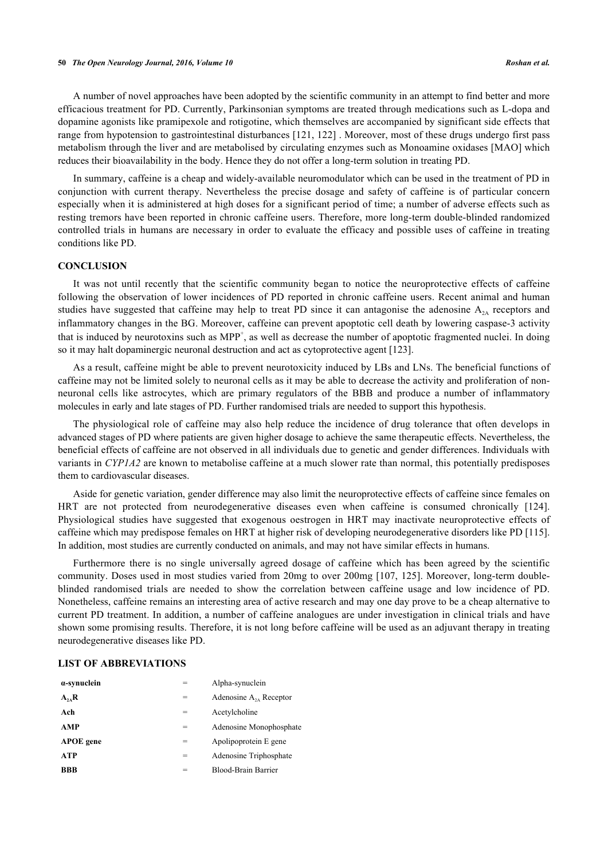A number of novel approaches have been adopted by the scientific community in an attempt to find better and more efficacious treatment for PD. Currently, Parkinsonian symptoms are treated through medications such as L-dopa and dopamine agonists like pramipexole and rotigotine, which themselves are accompanied by significant side effects that range from hypotension to gastrointestinal disturbances [[121](#page-15-19), [122\]](#page-16-0) . Moreover, most of these drugs undergo first pass metabolism through the liver and are metabolised by circulating enzymes such as Monoamine oxidases [MAO] which reduces their bioavailability in the body. Hence they do not offer a long-term solution in treating PD.

In summary, caffeine is a cheap and widely-available neuromodulator which can be used in the treatment of PD in conjunction with current therapy. Nevertheless the precise dosage and safety of caffeine is of particular concern especially when it is administered at high doses for a significant period of time; a number of adverse effects such as resting tremors have been reported in chronic caffeine users. Therefore, more long-term double-blinded randomized controlled trials in humans are necessary in order to evaluate the efficacy and possible uses of caffeine in treating conditions like PD.

## **CONCLUSION**

It was not until recently that the scientific community began to notice the neuroprotective effects of caffeine following the observation of lower incidences of PD reported in chronic caffeine users. Recent animal and human studies have suggested that caffeine may help to treat PD since it can antagonise the adenosine  $A_{2A}$  receptors and inflammatory changes in the BG. Moreover, caffeine can prevent apoptotic cell death by lowering caspase-3 activity that is induced by neurotoxins such as MPP<sup>+</sup>, as well as decrease the number of apoptotic fragmented nuclei. In doing so it may halt dopaminergic neuronal destruction and act as cytoprotective agent [\[123](#page-16-1)].

As a result, caffeine might be able to prevent neurotoxicity induced by LBs and LNs. The beneficial functions of caffeine may not be limited solely to neuronal cells as it may be able to decrease the activity and proliferation of nonneuronal cells like astrocytes, which are primary regulators of the BBB and produce a number of inflammatory molecules in early and late stages of PD. Further randomised trials are needed to support this hypothesis.

The physiological role of caffeine may also help reduce the incidence of drug tolerance that often develops in advanced stages of PD where patients are given higher dosage to achieve the same therapeutic effects. Nevertheless, the beneficial effects of caffeine are not observed in all individuals due to genetic and gender differences. Individuals with variants in *CYP1A2* are known to metabolise caffeine at a much slower rate than normal, this potentially predisposes them to cardiovascular diseases.

Aside for genetic variation, gender difference may also limit the neuroprotective effects of caffeine since females on HRT are not protected from neurodegenerative diseases even when caffeine is consumed chronically [\[124\]](#page-16-2). Physiological studies have suggested that exogenous oestrogen in HRT may inactivate neuroprotective effects of caffeine which may predispose females on HRT at higher risk of developing neurodegenerative disorders like PD [[115\]](#page-15-13). In addition, most studies are currently conducted on animals, and may not have similar effects in humans.

Furthermore there is no single universally agreed dosage of caffeine which has been agreed by the scientific community. Doses used in most studies varied from 20mg to over 200mg [[107](#page-15-5), [125](#page-16-3)]. Moreover, long-term doubleblinded randomised trials are needed to show the correlation between caffeine usage and low incidence of PD. Nonetheless, caffeine remains an interesting area of active research and may one day prove to be a cheap alternative to current PD treatment. In addition, a number of caffeine analogues are under investigation in clinical trials and have shown some promising results. Therefore, it is not long before caffeine will be used as an adjuvant therapy in treating neurodegenerative diseases like PD.

## **LIST OF ABBREVIATIONS**

| $\alpha$ -synuclein |   | Alpha-synuclein             |
|---------------------|---|-----------------------------|
| $A_{2A}R$           | = | Adenosine $A_{2A}$ Receptor |
| Ach                 |   | Acetylcholine               |
| <b>AMP</b>          | = | Adenosine Monophosphate     |
| <b>APOE</b> gene    | = | Apolipoprotein E gene       |
| <b>ATP</b>          | = | Adenosine Triphosphate      |
| <b>BBB</b>          |   | Blood-Brain Barrier         |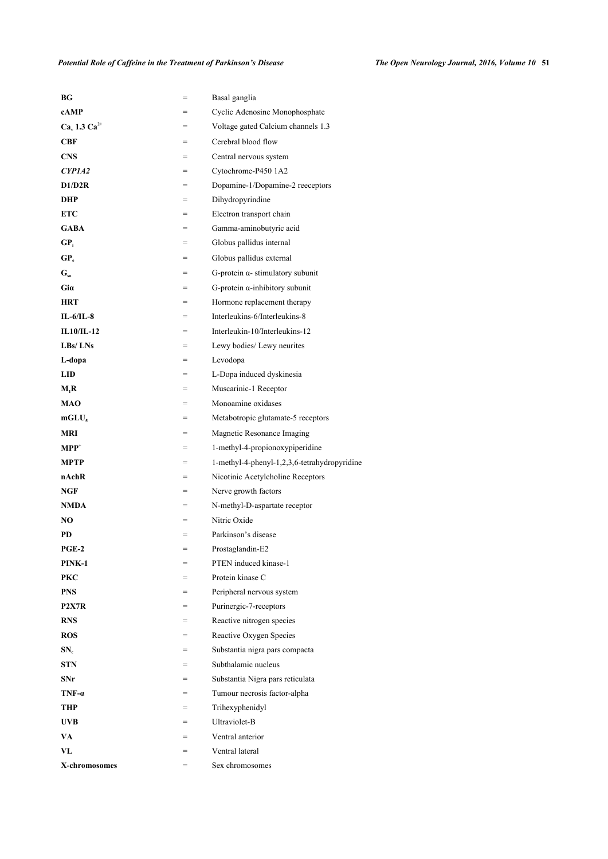## *Potential Role of Caffeine in the Treatment of Parkinson's Disease The Open Neurology Journal, 2016, Volume 10* **51**

| BG                              | =   | Basal ganglia                                |
|---------------------------------|-----|----------------------------------------------|
| cAMP                            |     | Cyclic Adenosine Monophosphate               |
| $Cav 1.3 Ca2+$                  | $=$ | Voltage gated Calcium channels 1.3           |
| <b>CBF</b>                      |     | Cerebral blood flow                          |
| <b>CNS</b>                      |     | Central nervous system                       |
| CYP1A2                          | =   | Cytochrome-P450 1A2                          |
| D1/D2R                          | $=$ | Dopamine-1/Dopamine-2 reeceptors             |
| DHP                             | $=$ | Dihydropyrindine                             |
| <b>ETC</b>                      | =   | Electron transport chain                     |
| <b>GABA</b>                     |     | Gamma-aminobutyric acid                      |
| GP,                             | $=$ | Globus pallidus internal                     |
| GP.                             | $=$ | Globus pallidus external                     |
| $G_{sa}$                        | $=$ | G-protein $\alpha$ - stimulatory subunit     |
| Gia                             | $=$ | $G$ -protein $\alpha$ -inhibitory subunit    |
| <b>HRT</b>                      | $=$ | Hormone replacement therapy                  |
| $IL-6/IL-8$                     |     | Interleukins-6/Interleukins-8                |
| $IL10/IL-12$                    | $=$ | Interleukin-10/Interleukins-12               |
| $L$ Bs/ $LNs$                   | =   | Lewy bodies/ Lewy neurites                   |
| L-dopa                          | $=$ | Levodopa                                     |
| <b>LID</b>                      | $=$ | L-Dopa induced dyskinesia                    |
| M,R                             |     | Muscarinic-1 Receptor                        |
| <b>MAO</b>                      |     | Monoamine oxidases                           |
| $mGLU_s$                        | $=$ | Metabotropic glutamate-5 receptors           |
| MRI                             | $=$ | Magnetic Resonance Imaging                   |
| $\mathbf{MPP}^+$                | $=$ | 1-methyl-4-propionoxypiperidine              |
| <b>MPTP</b>                     | $=$ | 1-methyl-4-phenyl-1,2,3,6-tetrahydropyridine |
| nAchR                           | =   | Nicotinic Acetylcholine Receptors            |
| NGF                             | $=$ | Nerve growth factors                         |
| <b>NMDA</b>                     | $=$ | N-methyl-D-aspartate receptor                |
| NO                              |     | Nitric Oxide                                 |
| PD                              | =   | Parkinson's disease                          |
| $PGE-2$                         | $=$ | Prostaglandin-E2                             |
| PINK-1                          | $=$ | PTEN induced kinase-1                        |
| <b>PKC</b>                      | $=$ | Protein kinase C                             |
| <b>PNS</b>                      |     | Peripheral nervous system                    |
| P <sub>2</sub> X <sub>7</sub> R | $=$ | Purinergic-7-receptors                       |
| <b>RNS</b>                      | $=$ | Reactive nitrogen species                    |
| ROS                             | $=$ | Reactive Oxygen Species                      |
| SN.                             | $=$ | Substantia nigra pars compacta               |
| <b>STN</b>                      | $=$ | Subthalamic nucleus                          |
| SNr                             |     | Substantia Nigra pars reticulata             |
| $TNF-\alpha$                    | $=$ | Tumour necrosis factor-alpha                 |
| THP                             | $=$ | Trihexyphenidyl                              |
| <b>UVB</b>                      | $=$ | Ultraviolet-B                                |
| VA                              |     | Ventral anterior                             |
| VL                              |     | Ventral lateral                              |
| X-chromosomes                   | $=$ | Sex chromosomes                              |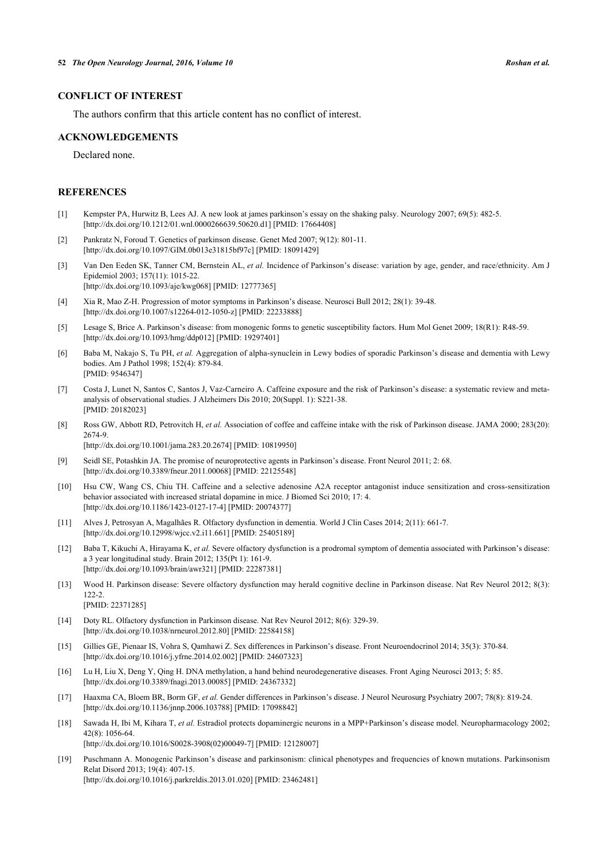## **CONFLICT OF INTEREST**

The authors confirm that this article content has no conflict of interest.

### **ACKNOWLEDGEMENTS**

Declared none.

## **REFERENCES**

- <span id="page-10-0"></span>[1] Kempster PA, Hurwitz B, Lees AJ. A new look at james parkinson's essay on the shaking palsy. Neurology 2007; 69(5): 482-5. [\[http://dx.doi.org/10.1212/01.wnl.0000266639.50620.d1\]](http://dx.doi.org/10.1212/01.wnl.0000266639.50620.d1) [PMID: [17664408](http://www.ncbi.nlm.nih.gov/pubmed/17664408)]
- <span id="page-10-1"></span>[2] Pankratz N, Foroud T. Genetics of parkinson disease. Genet Med 2007; 9(12): 801-11. [\[http://dx.doi.org/10.1097/GIM.0b013e31815bf97c](http://dx.doi.org/10.1097/GIM.0b013e31815bf97c)] [PMID: [18091429\]](http://www.ncbi.nlm.nih.gov/pubmed/18091429)
- <span id="page-10-2"></span>[3] Van Den Eeden SK, Tanner CM, Bernstein AL, *et al.* Incidence of Parkinson's disease: variation by age, gender, and race/ethnicity. Am J Epidemiol 2003; 157(11): 1015-22. [\[http://dx.doi.org/10.1093/aje/kwg068](http://dx.doi.org/10.1093/aje/kwg068)] [PMID: [12777365\]](http://www.ncbi.nlm.nih.gov/pubmed/12777365)
- <span id="page-10-3"></span>[4] Xia R, Mao Z-H. Progression of motor symptoms in Parkinson's disease. Neurosci Bull 2012; 28(1): 39-48. [\[http://dx.doi.org/10.1007/s12264-012-1050-z](http://dx.doi.org/10.1007/s12264-012-1050-z)] [PMID: [22233888](http://www.ncbi.nlm.nih.gov/pubmed/22233888)]
- <span id="page-10-4"></span>[5] Lesage S, Brice A. Parkinson's disease: from monogenic forms to genetic susceptibility factors. Hum Mol Genet 2009; 18(R1): R48-59. [\[http://dx.doi.org/10.1093/hmg/ddp012](http://dx.doi.org/10.1093/hmg/ddp012)] [PMID: [19297401\]](http://www.ncbi.nlm.nih.gov/pubmed/19297401)
- <span id="page-10-5"></span>[6] Baba M, Nakajo S, Tu PH, *et al.* Aggregation of alpha-synuclein in Lewy bodies of sporadic Parkinson's disease and dementia with Lewy bodies. Am J Pathol 1998; 152(4): 879-84. [PMID: [9546347\]](http://www.ncbi.nlm.nih.gov/pubmed/9546347)
- <span id="page-10-6"></span>[7] Costa J, Lunet N, Santos C, Santos J, Vaz-Carneiro A. Caffeine exposure and the risk of Parkinson's disease: a systematic review and metaanalysis of observational studies. J Alzheimers Dis 2010; 20(Suppl. 1): S221-38. [PMID: [20182023\]](http://www.ncbi.nlm.nih.gov/pubmed/20182023)
- <span id="page-10-7"></span>[8] Ross GW, Abbott RD, Petrovitch H, *et al.* Association of coffee and caffeine intake with the risk of Parkinson disease. JAMA 2000; 283(20): 2674-9.

[\[http://dx.doi.org/10.1001/jama.283.20.2674](http://dx.doi.org/10.1001/jama.283.20.2674)] [PMID: [10819950\]](http://www.ncbi.nlm.nih.gov/pubmed/10819950)

- <span id="page-10-8"></span>[9] Seidl SE, Potashkin JA. The promise of neuroprotective agents in Parkinson's disease. Front Neurol 2011; 2: 68. [\[http://dx.doi.org/10.3389/fneur.2011.00068\]](http://dx.doi.org/10.3389/fneur.2011.00068) [PMID: [22125548](http://www.ncbi.nlm.nih.gov/pubmed/22125548)]
- <span id="page-10-9"></span>[10] Hsu CW, Wang CS, Chiu TH. Caffeine and a selective adenosine A2A receptor antagonist induce sensitization and cross-sensitization behavior associated with increased striatal dopamine in mice. J Biomed Sci 2010; 17: 4. [\[http://dx.doi.org/10.1186/1423-0127-17-4\]](http://dx.doi.org/10.1186/1423-0127-17-4) [PMID: [20074377](http://www.ncbi.nlm.nih.gov/pubmed/20074377)]
- <span id="page-10-10"></span>[11] Alves J, Petrosyan A, Magalhães R. Olfactory dysfunction in dementia. World J Clin Cases 2014; 2(11): 661-7. [\[http://dx.doi.org/10.12998/wjcc.v2.i11.661](http://dx.doi.org/10.12998/wjcc.v2.i11.661)] [PMID: [25405189\]](http://www.ncbi.nlm.nih.gov/pubmed/25405189)
- [12] Baba T, Kikuchi A, Hirayama K, *et al.* Severe olfactory dysfunction is a prodromal symptom of dementia associated with Parkinson's disease: a 3 year longitudinal study. Brain 2012; 135(Pt 1): 161-9. [\[http://dx.doi.org/10.1093/brain/awr321](http://dx.doi.org/10.1093/brain/awr321)] [PMID: [22287381](http://www.ncbi.nlm.nih.gov/pubmed/22287381)]
- <span id="page-10-11"></span>[13] Wood H. Parkinson disease: Severe olfactory dysfunction may herald cognitive decline in Parkinson disease. Nat Rev Neurol 2012; 8(3): 122-2. [PMID: [22371285\]](http://www.ncbi.nlm.nih.gov/pubmed/22371285)
- <span id="page-10-12"></span>[14] Doty RL. Olfactory dysfunction in Parkinson disease. Nat Rev Neurol 2012; 8(6): 329-39. [\[http://dx.doi.org/10.1038/nrneurol.2012.80\]](http://dx.doi.org/10.1038/nrneurol.2012.80) [PMID: [22584158](http://www.ncbi.nlm.nih.gov/pubmed/22584158)]
- <span id="page-10-13"></span>[15] Gillies GE, Pienaar IS, Vohra S, Qamhawi Z. Sex differences in Parkinson's disease. Front Neuroendocrinol 2014; 35(3): 370-84. [\[http://dx.doi.org/10.1016/j.yfrne.2014.02.002\]](http://dx.doi.org/10.1016/j.yfrne.2014.02.002) [PMID: [24607323](http://www.ncbi.nlm.nih.gov/pubmed/24607323)]
- <span id="page-10-14"></span>[16] Lu H, Liu X, Deng Y, Qing H. DNA methylation, a hand behind neurodegenerative diseases. Front Aging Neurosci 2013; 5: 85. [\[http://dx.doi.org/10.3389/fnagi.2013.00085](http://dx.doi.org/10.3389/fnagi.2013.00085)] [PMID: [24367332\]](http://www.ncbi.nlm.nih.gov/pubmed/24367332)
- <span id="page-10-15"></span>[17] Haaxma CA, Bloem BR, Borm GF, *et al.* Gender differences in Parkinson's disease. J Neurol Neurosurg Psychiatry 2007; 78(8): 819-24. [\[http://dx.doi.org/10.1136/jnnp.2006.103788](http://dx.doi.org/10.1136/jnnp.2006.103788)] [PMID: [17098842\]](http://www.ncbi.nlm.nih.gov/pubmed/17098842)
- <span id="page-10-16"></span>[18] Sawada H, Ibi M, Kihara T, *et al.* Estradiol protects dopaminergic neurons in a MPP+Parkinson's disease model. Neuropharmacology 2002; 42(8): 1056-64. [\[http://dx.doi.org/10.1016/S0028-3908\(02\)00049-7\]](http://dx.doi.org/10.1016/S0028-3908(02)00049-7) [PMID: [12128007](http://www.ncbi.nlm.nih.gov/pubmed/12128007)]
- <span id="page-10-17"></span>[19] Puschmann A. Monogenic Parkinson's disease and parkinsonism: clinical phenotypes and frequencies of known mutations. Parkinsonism Relat Disord 2013; 19(4): 407-15. [\[http://dx.doi.org/10.1016/j.parkreldis.2013.01.020](http://dx.doi.org/10.1016/j.parkreldis.2013.01.020)] [PMID: [23462481\]](http://www.ncbi.nlm.nih.gov/pubmed/23462481)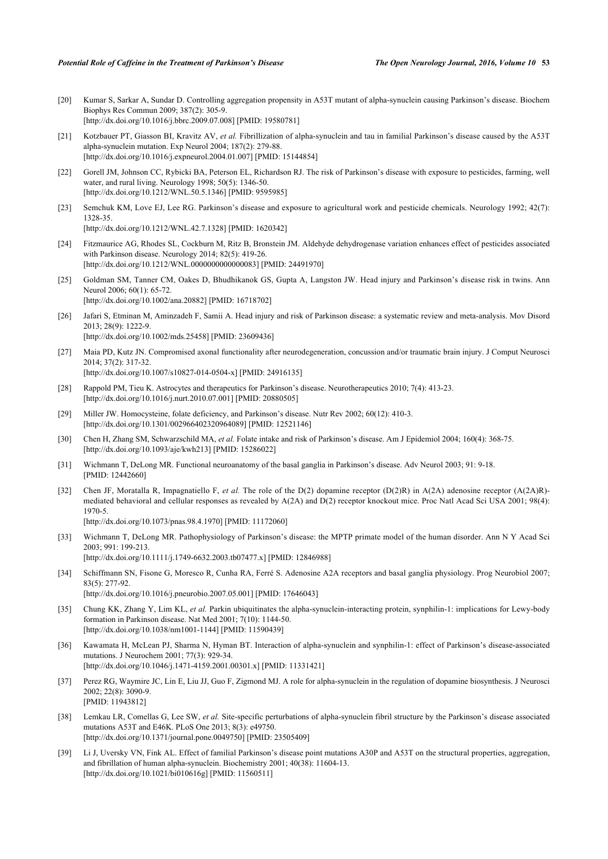- <span id="page-11-0"></span>[20] Kumar S, Sarkar A, Sundar D. Controlling aggregation propensity in A53T mutant of alpha-synuclein causing Parkinson's disease. Biochem Biophys Res Commun 2009; 387(2): 305-9. [\[http://dx.doi.org/10.1016/j.bbrc.2009.07.008](http://dx.doi.org/10.1016/j.bbrc.2009.07.008)] [PMID: [19580781\]](http://www.ncbi.nlm.nih.gov/pubmed/19580781)
- <span id="page-11-1"></span>[21] Kotzbauer PT, Giasson BI, Kravitz AV, *et al.* Fibrillization of alpha-synuclein and tau in familial Parkinson's disease caused by the A53T alpha-synuclein mutation. Exp Neurol 2004; 187(2): 279-88. [\[http://dx.doi.org/10.1016/j.expneurol.2004.01.007](http://dx.doi.org/10.1016/j.expneurol.2004.01.007)] [PMID: [15144854\]](http://www.ncbi.nlm.nih.gov/pubmed/15144854)
- <span id="page-11-2"></span>[22] Gorell JM, Johnson CC, Rybicki BA, Peterson EL, Richardson RJ. The risk of Parkinson's disease with exposure to pesticides, farming, well water, and rural living. Neurology 1998; 50(5): 1346-50. [\[http://dx.doi.org/10.1212/WNL.50.5.1346](http://dx.doi.org/10.1212/WNL.50.5.1346)] [PMID: [9595985\]](http://www.ncbi.nlm.nih.gov/pubmed/9595985)
- <span id="page-11-3"></span>[23] Semchuk KM, Love EJ, Lee RG. Parkinson's disease and exposure to agricultural work and pesticide chemicals. Neurology 1992; 42(7): 1328-35. [\[http://dx.doi.org/10.1212/WNL.42.7.1328](http://dx.doi.org/10.1212/WNL.42.7.1328)] [PMID: [1620342\]](http://www.ncbi.nlm.nih.gov/pubmed/1620342)
- <span id="page-11-4"></span>[24] Fitzmaurice AG, Rhodes SL, Cockburn M, Ritz B, Bronstein JM. Aldehyde dehydrogenase variation enhances effect of pesticides associated with Parkinson disease. Neurology 2014; 82(5): 419-26. [\[http://dx.doi.org/10.1212/WNL.0000000000000083](http://dx.doi.org/10.1212/WNL.0000000000000083)] [PMID: [24491970\]](http://www.ncbi.nlm.nih.gov/pubmed/24491970)
- <span id="page-11-5"></span>[25] Goldman SM, Tanner CM, Oakes D, Bhudhikanok GS, Gupta A, Langston JW. Head injury and Parkinson's disease risk in twins. Ann Neurol 2006; 60(1): 65-72. [\[http://dx.doi.org/10.1002/ana.20882\]](http://dx.doi.org/10.1002/ana.20882) [PMID: [16718702](http://www.ncbi.nlm.nih.gov/pubmed/16718702)]
- <span id="page-11-6"></span>[26] Jafari S, Etminan M, Aminzadeh F, Samii A. Head injury and risk of Parkinson disease: a systematic review and meta-analysis. Mov Disord 2013; 28(9): 1222-9. [\[http://dx.doi.org/10.1002/mds.25458](http://dx.doi.org/10.1002/mds.25458)] [PMID: [23609436\]](http://www.ncbi.nlm.nih.gov/pubmed/23609436)
- <span id="page-11-7"></span>[27] Maia PD, Kutz JN. Compromised axonal functionality after neurodegeneration, concussion and/or traumatic brain injury. J Comput Neurosci 2014; 37(2): 317-32. [\[http://dx.doi.org/10.1007/s10827-014-0504-x\]](http://dx.doi.org/10.1007/s10827-014-0504-x) [PMID: [24916135](http://www.ncbi.nlm.nih.gov/pubmed/24916135)]
- <span id="page-11-8"></span>[28] Rappold PM, Tieu K. Astrocytes and therapeutics for Parkinson's disease. Neurotherapeutics 2010; 7(4): 413-23. [\[http://dx.doi.org/10.1016/j.nurt.2010.07.001\]](http://dx.doi.org/10.1016/j.nurt.2010.07.001) [PMID: [20880505](http://www.ncbi.nlm.nih.gov/pubmed/20880505)]
- <span id="page-11-9"></span>[29] Miller JW. Homocysteine, folate deficiency, and Parkinson's disease. Nutr Rev 2002; 60(12): 410-3. [\[http://dx.doi.org/10.1301/002966402320964089\]](http://dx.doi.org/10.1301/002966402320964089) [PMID: [12521146](http://www.ncbi.nlm.nih.gov/pubmed/12521146)]
- <span id="page-11-10"></span>[30] Chen H, Zhang SM, Schwarzschild MA, *et al.* Folate intake and risk of Parkinson's disease. Am J Epidemiol 2004; 160(4): 368-75. [\[http://dx.doi.org/10.1093/aje/kwh213](http://dx.doi.org/10.1093/aje/kwh213)] [PMID: [15286022\]](http://www.ncbi.nlm.nih.gov/pubmed/15286022)
- <span id="page-11-11"></span>[31] Wichmann T, DeLong MR. Functional neuroanatomy of the basal ganglia in Parkinson's disease. Adv Neurol 2003; 91: 9-18. [PMID: [12442660\]](http://www.ncbi.nlm.nih.gov/pubmed/12442660)
- <span id="page-11-12"></span>[32] Chen JF, Moratalla R, Impagnatiello F, *et al.* The role of the D(2) dopamine receptor (D(2)R) in A(2A) adenosine receptor (A(2A)R) mediated behavioral and cellular responses as revealed by A(2A) and D(2) receptor knockout mice. Proc Natl Acad Sci USA 2001; 98(4): 1970-5. [\[http://dx.doi.org/10.1073/pnas.98.4.1970](http://dx.doi.org/10.1073/pnas.98.4.1970)] [PMID: [11172060](http://www.ncbi.nlm.nih.gov/pubmed/11172060)]
- <span id="page-11-14"></span>[33] Wichmann T, DeLong MR. Pathophysiology of Parkinson's disease: the MPTP primate model of the human disorder. Ann N Y Acad Sci 2003; 991: 199-213.

[\[http://dx.doi.org/10.1111/j.1749-6632.2003.tb07477.x\]](http://dx.doi.org/10.1111/j.1749-6632.2003.tb07477.x) [PMID: [12846988](http://www.ncbi.nlm.nih.gov/pubmed/12846988)]

- <span id="page-11-13"></span>[34] Schiffmann SN, Fisone G, Moresco R, Cunha RA, Ferré S. Adenosine A2A receptors and basal ganglia physiology. Prog Neurobiol 2007; 83(5): 277-92.
	- [\[http://dx.doi.org/10.1016/j.pneurobio.2007.05.001](http://dx.doi.org/10.1016/j.pneurobio.2007.05.001)] [PMID: [17646043](http://www.ncbi.nlm.nih.gov/pubmed/17646043)]
- <span id="page-11-15"></span>[35] Chung KK, Zhang Y, Lim KL, *et al.* Parkin ubiquitinates the alpha-synuclein-interacting protein, synphilin-1: implications for Lewy-body formation in Parkinson disease. Nat Med 2001; 7(10): 1144-50. [\[http://dx.doi.org/10.1038/nm1001-1144\]](http://dx.doi.org/10.1038/nm1001-1144) [PMID: [11590439](http://www.ncbi.nlm.nih.gov/pubmed/11590439)]
- <span id="page-11-16"></span>[36] Kawamata H, McLean PJ, Sharma N, Hyman BT. Interaction of alpha-synuclein and synphilin-1: effect of Parkinson's disease-associated mutations. J Neurochem 2001; 77(3): 929-34. [\[http://dx.doi.org/10.1046/j.1471-4159.2001.00301.x\]](http://dx.doi.org/10.1046/j.1471-4159.2001.00301.x) [PMID: [11331421](http://www.ncbi.nlm.nih.gov/pubmed/11331421)]
- <span id="page-11-17"></span>[37] Perez RG, Waymire JC, Lin E, Liu JJ, Guo F, Zigmond MJ. A role for alpha-synuclein in the regulation of dopamine biosynthesis. J Neurosci 2002; 22(8): 3090-9. [PMID: [11943812\]](http://www.ncbi.nlm.nih.gov/pubmed/11943812)
- <span id="page-11-18"></span>[38] Lemkau LR, Comellas G, Lee SW, *et al.* Site-specific perturbations of alpha-synuclein fibril structure by the Parkinson's disease associated mutations A53T and E46K. PLoS One 2013; 8(3): e49750. [\[http://dx.doi.org/10.1371/journal.pone.0049750](http://dx.doi.org/10.1371/journal.pone.0049750)] [PMID: [23505409\]](http://www.ncbi.nlm.nih.gov/pubmed/23505409)
- <span id="page-11-19"></span>[39] Li J, Uversky VN, Fink AL. Effect of familial Parkinson's disease point mutations A30P and A53T on the structural properties, aggregation, and fibrillation of human alpha-synuclein. Biochemistry 2001; 40(38): 11604-13. [\[http://dx.doi.org/10.1021/bi010616g](http://dx.doi.org/10.1021/bi010616g)] [PMID: [11560511\]](http://www.ncbi.nlm.nih.gov/pubmed/11560511)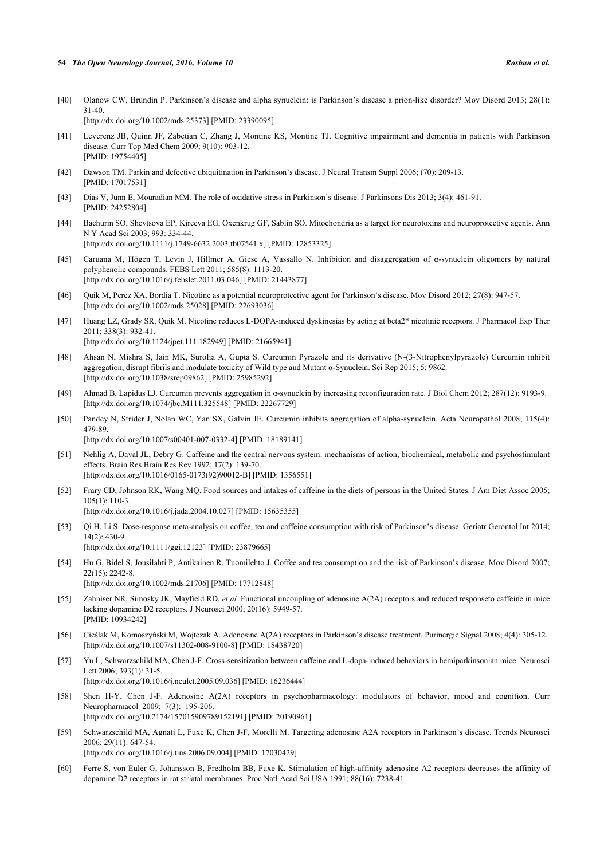#### **54** *The Open Neurology Journal, 2016, Volume 10 Roshan et al.*

- <span id="page-12-0"></span>[40] Olanow CW, Brundin P. Parkinson's disease and alpha synuclein: is Parkinson's disease a prion-like disorder? Mov Disord 2013; 28(1): 31-40. [\[http://dx.doi.org/10.1002/mds.25373](http://dx.doi.org/10.1002/mds.25373)] [PMID: [23390095\]](http://www.ncbi.nlm.nih.gov/pubmed/23390095)
- <span id="page-12-1"></span>[41] Leverenz JB, Quinn JF, Zabetian C, Zhang J, Montine KS, Montine TJ. Cognitive impairment and dementia in patients with Parkinson disease. Curr Top Med Chem 2009; 9(10): 903-12. [PMID: [19754405\]](http://www.ncbi.nlm.nih.gov/pubmed/19754405)
- <span id="page-12-2"></span>[42] Dawson TM. Parkin and defective ubiquitination in Parkinson's disease. J Neural Transm Suppl 2006; (70): 209-13. [PMID: [17017531\]](http://www.ncbi.nlm.nih.gov/pubmed/17017531)
- <span id="page-12-3"></span>[43] Dias V, Junn E, Mouradian MM. The role of oxidative stress in Parkinson's disease. J Parkinsons Dis 2013; 3(4): 461-91. [PMID: [24252804\]](http://www.ncbi.nlm.nih.gov/pubmed/24252804)
- <span id="page-12-4"></span>[44] Bachurin SO, Shevtsova EP, Kireeva EG, Oxenkrug GF, Sablin SO. Mitochondria as a target for neurotoxins and neuroprotective agents. Ann N Y Acad Sci 2003; 993: 334-44. [\[http://dx.doi.org/10.1111/j.1749-6632.2003.tb07541.x\]](http://dx.doi.org/10.1111/j.1749-6632.2003.tb07541.x) [PMID: [12853325](http://www.ncbi.nlm.nih.gov/pubmed/12853325)]
- <span id="page-12-5"></span>[45] Caruana M, Högen T, Levin J, Hillmer A, Giese A, Vassallo N. Inhibition and disaggregation of α-synuclein oligomers by natural polyphenolic compounds. FEBS Lett 2011; 585(8): 1113-20. [\[http://dx.doi.org/10.1016/j.febslet.2011.03.046](http://dx.doi.org/10.1016/j.febslet.2011.03.046)] [PMID: [21443877\]](http://www.ncbi.nlm.nih.gov/pubmed/21443877)
- <span id="page-12-6"></span>[46] Quik M, Perez XA, Bordia T. Nicotine as a potential neuroprotective agent for Parkinson's disease. Mov Disord 2012; 27(8): 947-57. [\[http://dx.doi.org/10.1002/mds.25028](http://dx.doi.org/10.1002/mds.25028)] [PMID: [22693036\]](http://www.ncbi.nlm.nih.gov/pubmed/22693036)
- <span id="page-12-7"></span>[47] Huang LZ, Grady SR, Quik M. Nicotine reduces L-DOPA-induced dyskinesias by acting at beta2\* nicotinic receptors. J Pharmacol Exp Ther 2011; 338(3): 932-41. [\[http://dx.doi.org/10.1124/jpet.111.182949\]](http://dx.doi.org/10.1124/jpet.111.182949) [PMID: [21665941](http://www.ncbi.nlm.nih.gov/pubmed/21665941)]
- <span id="page-12-8"></span>[48] Ahsan N, Mishra S, Jain MK, Surolia A, Gupta S. Curcumin Pyrazole and its derivative (N-(3-Nitrophenylpyrazole) Curcumin inhibit aggregation, disrupt fibrils and modulate toxicity of Wild type and Mutant α-Synuclein. Sci Rep 2015; 5: 9862. [\[http://dx.doi.org/10.1038/srep09862](http://dx.doi.org/10.1038/srep09862)] [PMID: [25985292\]](http://www.ncbi.nlm.nih.gov/pubmed/25985292)
- <span id="page-12-9"></span>[49] Ahmad B, Lapidus LJ. Curcumin prevents aggregation in α-synuclein by increasing reconfiguration rate. J Biol Chem 2012; 287(12): 9193-9. [\[http://dx.doi.org/10.1074/jbc.M111.325548\]](http://dx.doi.org/10.1074/jbc.M111.325548) [PMID: [22267729](http://www.ncbi.nlm.nih.gov/pubmed/22267729)]
- <span id="page-12-10"></span>[50] Pandey N, Strider J, Nolan WC, Yan SX, Galvin JE. Curcumin inhibits aggregation of alpha-synuclein. Acta Neuropathol 2008; 115(4): 479-89. [\[http://dx.doi.org/10.1007/s00401-007-0332-4\]](http://dx.doi.org/10.1007/s00401-007-0332-4) [PMID: [18189141](http://www.ncbi.nlm.nih.gov/pubmed/18189141)]
- <span id="page-12-11"></span>[51] Nehlig A, Daval JL, Debry G. Caffeine and the central nervous system: mechanisms of action, biochemical, metabolic and psychostimulant effects. Brain Res Brain Res Rev 1992; 17(2): 139-70. [\[http://dx.doi.org/10.1016/0165-0173\(92\)90012-B\]](http://dx.doi.org/10.1016/0165-0173(92)90012-B) [PMID: [1356551](http://www.ncbi.nlm.nih.gov/pubmed/1356551)]
- <span id="page-12-12"></span>[52] Frary CD, Johnson RK, Wang MQ. Food sources and intakes of caffeine in the diets of persons in the United States. J Am Diet Assoc 2005; 105(1): 110-3. [\[http://dx.doi.org/10.1016/j.jada.2004.10.027](http://dx.doi.org/10.1016/j.jada.2004.10.027)] [PMID: [15635355\]](http://www.ncbi.nlm.nih.gov/pubmed/15635355)
- <span id="page-12-13"></span>[53] Qi H, Li S. Dose-response meta-analysis on coffee, tea and caffeine consumption with risk of Parkinson's disease. Geriatr Gerontol Int 2014; 14(2): 430-9. [\[http://dx.doi.org/10.1111/ggi.12123](http://dx.doi.org/10.1111/ggi.12123)] [PMID: [23879665\]](http://www.ncbi.nlm.nih.gov/pubmed/23879665)
- <span id="page-12-14"></span>[54] Hu G, Bidel S, Jousilahti P, Antikainen R, Tuomilehto J. Coffee and tea consumption and the risk of Parkinson's disease. Mov Disord 2007; 22(15): 2242-8. [\[http://dx.doi.org/10.1002/mds.21706](http://dx.doi.org/10.1002/mds.21706)] [PMID: [17712848\]](http://www.ncbi.nlm.nih.gov/pubmed/17712848)
- <span id="page-12-15"></span>[55] Zahniser NR, Simosky JK, Mayfield RD, *et al.* Functional uncoupling of adenosine A(2A) receptors and reduced responseto caffeine in mice lacking dopamine D2 receptors. J Neurosci 2000; 20(16): 5949-57. [PMID: [10934242\]](http://www.ncbi.nlm.nih.gov/pubmed/10934242)
- <span id="page-12-16"></span>[56] Cieślak M, Komoszyński M, Wojtczak A. Adenosine A(2A) receptors in Parkinson's disease treatment. Purinergic Signal 2008; 4(4): 305-12. [\[http://dx.doi.org/10.1007/s11302-008-9100-8\]](http://dx.doi.org/10.1007/s11302-008-9100-8) [PMID: [18438720](http://www.ncbi.nlm.nih.gov/pubmed/18438720)]
- <span id="page-12-17"></span>[57] Yu L, Schwarzschild MA, Chen J-F. Cross-sensitization between caffeine and L-dopa-induced behaviors in hemiparkinsonian mice. Neurosci Lett 2006; 393(1): 31-5. [\[http://dx.doi.org/10.1016/j.neulet.2005.09.036\]](http://dx.doi.org/10.1016/j.neulet.2005.09.036) [PMID: [16236444](http://www.ncbi.nlm.nih.gov/pubmed/16236444)]
- <span id="page-12-18"></span>[58] Shen H-Y, Chen J-F. Adenosine A(2A) receptors in psychopharmacology: modulators of behavior, mood and cognition. Curr Neuropharmacol 2009; 7(3): 195-206.

[\[http://dx.doi.org/10.2174/157015909789152191\]](http://dx.doi.org/10.2174/157015909789152191) [PMID: [20190961](http://www.ncbi.nlm.nih.gov/pubmed/20190961)]

- <span id="page-12-19"></span>[59] Schwarzschild MA, Agnati L, Fuxe K, Chen J-F, Morelli M. Targeting adenosine A2A receptors in Parkinson's disease. Trends Neurosci 2006; 29(11): 647-54.
	- [\[http://dx.doi.org/10.1016/j.tins.2006.09.004\]](http://dx.doi.org/10.1016/j.tins.2006.09.004) [PMID: [17030429](http://www.ncbi.nlm.nih.gov/pubmed/17030429)]
- <span id="page-12-20"></span>[60] Ferre S, von Euler G, Johansson B, Fredholm BB, Fuxe K. Stimulation of high-affinity adenosine A2 receptors decreases the affinity of dopamine D2 receptors in rat striatal membranes. Proc Natl Acad Sci USA 1991; 88(16): 7238-41.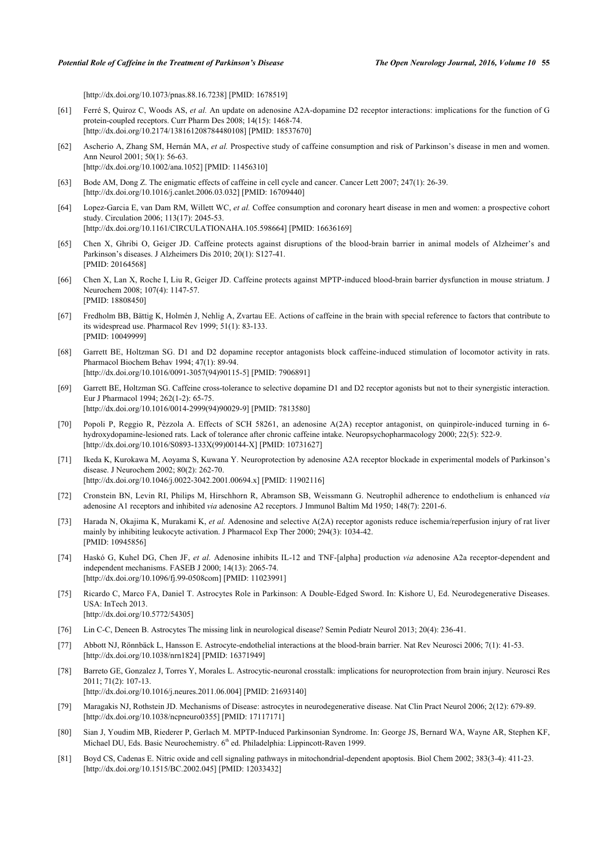[\[http://dx.doi.org/10.1073/pnas.88.16.7238](http://dx.doi.org/10.1073/pnas.88.16.7238)] [PMID: [1678519](http://www.ncbi.nlm.nih.gov/pubmed/1678519)]

- <span id="page-13-0"></span>[61] Ferré S, Quiroz C, Woods AS, *et al.* An update on adenosine A2A-dopamine D2 receptor interactions: implications for the function of G protein-coupled receptors. Curr Pharm Des 2008; 14(15): 1468-74. [\[http://dx.doi.org/10.2174/138161208784480108\]](http://dx.doi.org/10.2174/138161208784480108) [PMID: [18537670](http://www.ncbi.nlm.nih.gov/pubmed/18537670)]
- <span id="page-13-1"></span>[62] Ascherio A, Zhang SM, Hernán MA, *et al.* Prospective study of caffeine consumption and risk of Parkinson's disease in men and women. Ann Neurol 2001; 50(1): 56-63. [\[http://dx.doi.org/10.1002/ana.1052\]](http://dx.doi.org/10.1002/ana.1052) [PMID: [11456310](http://www.ncbi.nlm.nih.gov/pubmed/11456310)]
- <span id="page-13-2"></span>[63] Bode AM, Dong Z. The enigmatic effects of caffeine in cell cycle and cancer. Cancer Lett 2007; 247(1): 26-39. [\[http://dx.doi.org/10.1016/j.canlet.2006.03.032](http://dx.doi.org/10.1016/j.canlet.2006.03.032)] [PMID: [16709440\]](http://www.ncbi.nlm.nih.gov/pubmed/16709440)
- <span id="page-13-3"></span>[64] Lopez-Garcia E, van Dam RM, Willett WC, *et al.* Coffee consumption and coronary heart disease in men and women: a prospective cohort study. Circulation 2006; 113(17): 2045-53. [\[http://dx.doi.org/10.1161/CIRCULATIONAHA.105.598664](http://dx.doi.org/10.1161/CIRCULATIONAHA.105.598664)] [PMID: [16636169\]](http://www.ncbi.nlm.nih.gov/pubmed/16636169)
- <span id="page-13-4"></span>[65] Chen X, Ghribi O, Geiger JD. Caffeine protects against disruptions of the blood-brain barrier in animal models of Alzheimer's and Parkinson's diseases. J Alzheimers Dis 2010; 20(1): S127-41. [PMID: [20164568\]](http://www.ncbi.nlm.nih.gov/pubmed/20164568)
- <span id="page-13-5"></span>[66] Chen X, Lan X, Roche I, Liu R, Geiger JD. Caffeine protects against MPTP-induced blood-brain barrier dysfunction in mouse striatum. J Neurochem 2008; 107(4): 1147-57. [PMID: [18808450\]](http://www.ncbi.nlm.nih.gov/pubmed/18808450)
- <span id="page-13-6"></span>[67] Fredholm BB, Bättig K, Holmén J, Nehlig A, Zvartau EE. Actions of caffeine in the brain with special reference to factors that contribute to its widespread use. Pharmacol Rev 1999; 51(1): 83-133. [PMID: [10049999\]](http://www.ncbi.nlm.nih.gov/pubmed/10049999)
- <span id="page-13-7"></span>[68] Garrett BE, Holtzman SG. D1 and D2 dopamine receptor antagonists block caffeine-induced stimulation of locomotor activity in rats. Pharmacol Biochem Behav 1994; 47(1): 89-94. [\[http://dx.doi.org/10.1016/0091-3057\(94\)90115-5](http://dx.doi.org/10.1016/0091-3057(94)90115-5)] [PMID: [7906891](http://www.ncbi.nlm.nih.gov/pubmed/7906891)]
- <span id="page-13-8"></span>[69] Garrett BE, Holtzman SG. Caffeine cross-tolerance to selective dopamine D1 and D2 receptor agonists but not to their synergistic interaction. Eur J Pharmacol 1994; 262(1-2): 65-75. [\[http://dx.doi.org/10.1016/0014-2999\(94\)90029-9](http://dx.doi.org/10.1016/0014-2999(94)90029-9)] [PMID: [7813580](http://www.ncbi.nlm.nih.gov/pubmed/7813580)]
- <span id="page-13-9"></span>[70] Popoli P, Reggio R, Pèzzola A. Effects of SCH 58261, an adenosine A(2A) receptor antagonist, on quinpirole-induced turning in 6 hydroxydopamine-lesioned rats. Lack of tolerance after chronic caffeine intake. Neuropsychopharmacology 2000; 22(5): 522-9. [\[http://dx.doi.org/10.1016/S0893-133X\(99\)00144-X](http://dx.doi.org/10.1016/S0893-133X(99)00144-X)] [PMID: [10731627](http://www.ncbi.nlm.nih.gov/pubmed/10731627)]
- <span id="page-13-10"></span>[71] Ikeda K, Kurokawa M, Aoyama S, Kuwana Y. Neuroprotection by adenosine A2A receptor blockade in experimental models of Parkinson's disease. J Neurochem 2002; 80(2): 262-70. [\[http://dx.doi.org/10.1046/j.0022-3042.2001.00694.x\]](http://dx.doi.org/10.1046/j.0022-3042.2001.00694.x) [PMID: [11902116](http://www.ncbi.nlm.nih.gov/pubmed/11902116)]
- <span id="page-13-11"></span>[72] Cronstein BN, Levin RI, Philips M, Hirschhorn R, Abramson SB, Weissmann G. Neutrophil adherence to endothelium is enhanced *via* adenosine A1 receptors and inhibited *via* adenosine A2 receptors. J Immunol Baltim Md 1950; 148(7): 2201-6.
- [73] Harada N, Okajima K, Murakami K, *et al.* Adenosine and selective A(2A) receptor agonists reduce ischemia/reperfusion injury of rat liver mainly by inhibiting leukocyte activation. J Pharmacol Exp Ther 2000; 294(3): 1034-42. [PMID: [10945856\]](http://www.ncbi.nlm.nih.gov/pubmed/10945856)
- <span id="page-13-12"></span>[74] Haskó G, Kuhel DG, Chen JF, *et al.* Adenosine inhibits IL-12 and TNF-[alpha] production *via* adenosine A2a receptor-dependent and independent mechanisms. FASEB J 2000; 14(13): 2065-74. [\[http://dx.doi.org/10.1096/fj.99-0508com](http://dx.doi.org/10.1096/fj.99-0508com)] [PMID: [11023991\]](http://www.ncbi.nlm.nih.gov/pubmed/11023991)
- <span id="page-13-13"></span>[75] Ricardo C, Marco FA, Daniel T. Astrocytes Role in Parkinson: A Double-Edged Sword. In: Kishore U, Ed. Neurodegenerative Diseases. USA: InTech 2013. [\[http://dx.doi.org/10.5772/54305\]](http://dx.doi.org/10.5772/54305)
- <span id="page-13-14"></span>[76] Lin C-C, Deneen B. Astrocytes The missing link in neurological disease? Semin Pediatr Neurol 2013; 20(4): 236-41.
- <span id="page-13-15"></span>[77] Abbott NJ, Rönnbäck L, Hansson E. Astrocyte-endothelial interactions at the blood-brain barrier. Nat Rev Neurosci 2006; 7(1): 41-53. [\[http://dx.doi.org/10.1038/nrn1824](http://dx.doi.org/10.1038/nrn1824)] [PMID: [16371949](http://www.ncbi.nlm.nih.gov/pubmed/16371949)]
- <span id="page-13-16"></span>[78] Barreto GE, Gonzalez J, Torres Y, Morales L. Astrocytic-neuronal crosstalk: implications for neuroprotection from brain injury. Neurosci Res 2011; 71(2): 107-13. [\[http://dx.doi.org/10.1016/j.neures.2011.06.004\]](http://dx.doi.org/10.1016/j.neures.2011.06.004) [PMID: [21693140](http://www.ncbi.nlm.nih.gov/pubmed/21693140)]
- <span id="page-13-17"></span>[79] Maragakis NJ, Rothstein JD. Mechanisms of Disease: astrocytes in neurodegenerative disease. Nat Clin Pract Neurol 2006; 2(12): 679-89. [\[http://dx.doi.org/10.1038/ncpneuro0355\]](http://dx.doi.org/10.1038/ncpneuro0355) [PMID: [17117171](http://www.ncbi.nlm.nih.gov/pubmed/17117171)]
- <span id="page-13-18"></span>[80] Sian J, Youdim MB, Riederer P, Gerlach M. MPTP-Induced Parkinsonian Syndrome. In: George JS, Bernard WA, Wayne AR, Stephen KF, Michael DU, Eds. Basic Neurochemistry. 6<sup>th</sup> ed. Philadelphia: Lippincott-Raven 1999.
- <span id="page-13-19"></span>[81] Boyd CS, Cadenas E. Nitric oxide and cell signaling pathways in mitochondrial-dependent apoptosis. Biol Chem 2002; 383(3-4): 411-23. [\[http://dx.doi.org/10.1515/BC.2002.045](http://dx.doi.org/10.1515/BC.2002.045)] [PMID: [12033432](http://www.ncbi.nlm.nih.gov/pubmed/12033432)]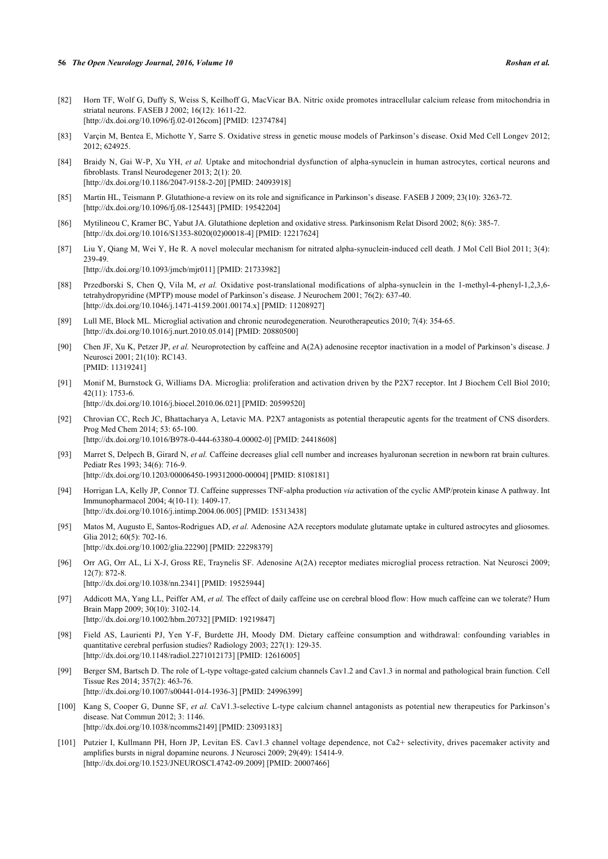- <span id="page-14-0"></span>[82] Horn TF, Wolf G, Duffy S, Weiss S, Keilhoff G, MacVicar BA. Nitric oxide promotes intracellular calcium release from mitochondria in striatal neurons. FASEB J 2002; 16(12): 1611-22. [\[http://dx.doi.org/10.1096/fj.02-0126com](http://dx.doi.org/10.1096/fj.02-0126com)] [PMID: [12374784\]](http://www.ncbi.nlm.nih.gov/pubmed/12374784)
- <span id="page-14-1"></span>[83] Varçin M, Bentea E, Michotte Y, Sarre S. Oxidative stress in genetic mouse models of Parkinson's disease. Oxid Med Cell Longev 2012; 2012; 624925.
- <span id="page-14-2"></span>[84] Braidy N, Gai W-P, Xu YH, *et al.* Uptake and mitochondrial dysfunction of alpha-synuclein in human astrocytes, cortical neurons and fibroblasts. Transl Neurodegener 2013; 2(1): 20. [\[http://dx.doi.org/10.1186/2047-9158-2-20\]](http://dx.doi.org/10.1186/2047-9158-2-20) [PMID: [24093918](http://www.ncbi.nlm.nih.gov/pubmed/24093918)]
- <span id="page-14-3"></span>[85] Martin HL, Teismann P. Glutathione-a review on its role and significance in Parkinson's disease. FASEB J 2009; 23(10): 3263-72. [\[http://dx.doi.org/10.1096/fj.08-125443](http://dx.doi.org/10.1096/fj.08-125443)] [PMID: [19542204\]](http://www.ncbi.nlm.nih.gov/pubmed/19542204)
- <span id="page-14-4"></span>[86] Mytilineou C, Kramer BC, Yabut JA. Glutathione depletion and oxidative stress. Parkinsonism Relat Disord 2002; 8(6): 385-7. [\[http://dx.doi.org/10.1016/S1353-8020\(02\)00018-4\]](http://dx.doi.org/10.1016/S1353-8020(02)00018-4) [PMID: [12217624](http://www.ncbi.nlm.nih.gov/pubmed/12217624)]
- <span id="page-14-5"></span>[87] Liu Y, Qiang M, Wei Y, He R. A novel molecular mechanism for nitrated alpha-synuclein-induced cell death. J Mol Cell Biol 2011; 3(4): 239-49.

[\[http://dx.doi.org/10.1093/jmcb/mjr011](http://dx.doi.org/10.1093/jmcb/mjr011)] [PMID: [21733982\]](http://www.ncbi.nlm.nih.gov/pubmed/21733982)

- <span id="page-14-6"></span>[88] Przedborski S, Chen Q, Vila M, *et al.* Oxidative post-translational modifications of alpha-synuclein in the 1-methyl-4-phenyl-1,2,3,6 tetrahydropyridine (MPTP) mouse model of Parkinson's disease. J Neurochem 2001; 76(2): 637-40. [\[http://dx.doi.org/10.1046/j.1471-4159.2001.00174.x\]](http://dx.doi.org/10.1046/j.1471-4159.2001.00174.x) [PMID: [11208927](http://www.ncbi.nlm.nih.gov/pubmed/11208927)]
- <span id="page-14-7"></span>[89] Lull ME, Block ML. Microglial activation and chronic neurodegeneration. Neurotherapeutics 2010; 7(4): 354-65. [\[http://dx.doi.org/10.1016/j.nurt.2010.05.014\]](http://dx.doi.org/10.1016/j.nurt.2010.05.014) [PMID: [20880500](http://www.ncbi.nlm.nih.gov/pubmed/20880500)]
- <span id="page-14-8"></span>[90] Chen JF, Xu K, Petzer JP, *et al.* Neuroprotection by caffeine and A(2A) adenosine receptor inactivation in a model of Parkinson's disease. J Neurosci 2001; 21(10): RC143. [PMID: [11319241\]](http://www.ncbi.nlm.nih.gov/pubmed/11319241)
- <span id="page-14-9"></span>[91] Monif M, Burnstock G, Williams DA. Microglia: proliferation and activation driven by the P2X7 receptor. Int J Biochem Cell Biol 2010; 42(11): 1753-6. [\[http://dx.doi.org/10.1016/j.biocel.2010.06.021\]](http://dx.doi.org/10.1016/j.biocel.2010.06.021) [PMID: [20599520](http://www.ncbi.nlm.nih.gov/pubmed/20599520)]
- <span id="page-14-10"></span>[92] Chrovian CC, Rech JC, Bhattacharya A, Letavic MA. P2X7 antagonists as potential therapeutic agents for the treatment of CNS disorders.
- Prog Med Chem 2014; 53: 65-100. [\[http://dx.doi.org/10.1016/B978-0-444-63380-4.00002-0](http://dx.doi.org/10.1016/B978-0-444-63380-4.00002-0)] [PMID: [24418608](http://www.ncbi.nlm.nih.gov/pubmed/24418608)]
- <span id="page-14-11"></span>[93] Marret S, Delpech B, Girard N, *et al.* Caffeine decreases glial cell number and increases hyaluronan secretion in newborn rat brain cultures. Pediatr Res 1993; 34(6): 716-9. [\[http://dx.doi.org/10.1203/00006450-199312000-00004](http://dx.doi.org/10.1203/00006450-199312000-00004)] [PMID: [8108181\]](http://www.ncbi.nlm.nih.gov/pubmed/8108181)
- <span id="page-14-12"></span>[94] Horrigan LA, Kelly JP, Connor TJ. Caffeine suppresses TNF-alpha production *via* activation of the cyclic AMP/protein kinase A pathway. Int Immunopharmacol 2004; 4(10-11): 1409-17. [\[http://dx.doi.org/10.1016/j.intimp.2004.06.005\]](http://dx.doi.org/10.1016/j.intimp.2004.06.005) [PMID: [15313438](http://www.ncbi.nlm.nih.gov/pubmed/15313438)]
- <span id="page-14-13"></span>[95] Matos M, Augusto E, Santos-Rodrigues AD, *et al.* Adenosine A2A receptors modulate glutamate uptake in cultured astrocytes and gliosomes. Glia 2012; 60(5): 702-16. [\[http://dx.doi.org/10.1002/glia.22290\]](http://dx.doi.org/10.1002/glia.22290) [PMID: [22298379](http://www.ncbi.nlm.nih.gov/pubmed/22298379)]
- <span id="page-14-14"></span>[96] Orr AG, Orr AL, Li X-J, Gross RE, Traynelis SF. Adenosine A(2A) receptor mediates microglial process retraction. Nat Neurosci 2009; 12(7): 872-8. [\[http://dx.doi.org/10.1038/nn.2341\]](http://dx.doi.org/10.1038/nn.2341) [PMID: [19525944](http://www.ncbi.nlm.nih.gov/pubmed/19525944)]
- <span id="page-14-15"></span>[97] Addicott MA, Yang LL, Peiffer AM, *et al.* The effect of daily caffeine use on cerebral blood flow: How much caffeine can we tolerate? Hum Brain Mapp 2009; 30(10): 3102-14. [\[http://dx.doi.org/10.1002/hbm.20732](http://dx.doi.org/10.1002/hbm.20732)] [PMID: [19219847\]](http://www.ncbi.nlm.nih.gov/pubmed/19219847)
- <span id="page-14-16"></span>[98] Field AS, Laurienti PJ, Yen Y-F, Burdette JH, Moody DM. Dietary caffeine consumption and withdrawal: confounding variables in quantitative cerebral perfusion studies? Radiology 2003; 227(1): 129-35. [\[http://dx.doi.org/10.1148/radiol.2271012173](http://dx.doi.org/10.1148/radiol.2271012173)] [PMID: [12616005](http://www.ncbi.nlm.nih.gov/pubmed/12616005)]
- <span id="page-14-17"></span>[99] Berger SM, Bartsch D. The role of L-type voltage-gated calcium channels Cav1.2 and Cav1.3 in normal and pathological brain function. Cell Tissue Res 2014; 357(2): 463-76. [\[http://dx.doi.org/10.1007/s00441-014-1936-3\]](http://dx.doi.org/10.1007/s00441-014-1936-3) [PMID: [24996399](http://www.ncbi.nlm.nih.gov/pubmed/24996399)]
- <span id="page-14-18"></span>[100] Kang S, Cooper G, Dunne SF, *et al.* CaV1.3-selective L-type calcium channel antagonists as potential new therapeutics for Parkinson's disease. Nat Commun 2012; 3: 1146. [\[http://dx.doi.org/10.1038/ncomms2149\]](http://dx.doi.org/10.1038/ncomms2149) [PMID: [23093183](http://www.ncbi.nlm.nih.gov/pubmed/23093183)]
- <span id="page-14-19"></span>[101] Putzier I, Kullmann PH, Horn JP, Levitan ES. Cav1.3 channel voltage dependence, not Ca2+ selectivity, drives pacemaker activity and amplifies bursts in nigral dopamine neurons. J Neurosci 2009; 29(49): 15414-9. [\[http://dx.doi.org/10.1523/JNEUROSCI.4742-09.2009\]](http://dx.doi.org/10.1523/JNEUROSCI.4742-09.2009) [PMID: [20007466](http://www.ncbi.nlm.nih.gov/pubmed/20007466)]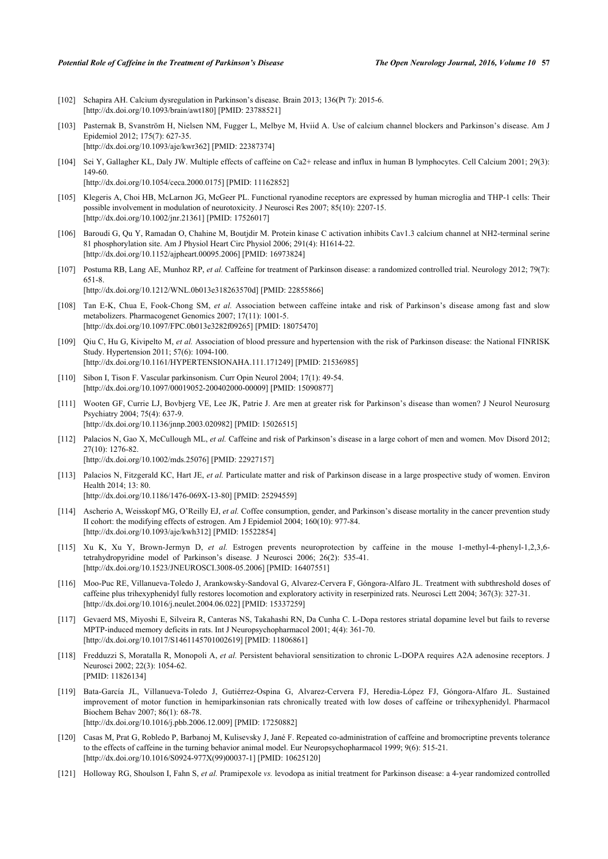- <span id="page-15-0"></span>[102] Schapira AH. Calcium dysregulation in Parkinson's disease. Brain 2013; 136(Pt 7): 2015-6. [\[http://dx.doi.org/10.1093/brain/awt180](http://dx.doi.org/10.1093/brain/awt180)] [PMID: [23788521\]](http://www.ncbi.nlm.nih.gov/pubmed/23788521)
- <span id="page-15-1"></span>[103] Pasternak B, Svanström H, Nielsen NM, Fugger L, Melbye M, Hviid A. Use of calcium channel blockers and Parkinson's disease. Am J Epidemiol 2012; 175(7): 627-35.

[\[http://dx.doi.org/10.1093/aje/kwr362\]](http://dx.doi.org/10.1093/aje/kwr362) [PMID: [22387374](http://www.ncbi.nlm.nih.gov/pubmed/22387374)]

<span id="page-15-2"></span>[104] Sei Y, Gallagher KL, Daly JW. Multiple effects of caffeine on Ca2+ release and influx in human B lymphocytes. Cell Calcium 2001; 29(3): 149-60.

[\[http://dx.doi.org/10.1054/ceca.2000.0175](http://dx.doi.org/10.1054/ceca.2000.0175)] [PMID: [11162852\]](http://www.ncbi.nlm.nih.gov/pubmed/11162852)

- <span id="page-15-3"></span>[105] Klegeris A, Choi HB, McLarnon JG, McGeer PL. Functional ryanodine receptors are expressed by human microglia and THP-1 cells: Their possible involvement in modulation of neurotoxicity. J Neurosci Res 2007; 85(10): 2207-15. [\[http://dx.doi.org/10.1002/jnr.21361\]](http://dx.doi.org/10.1002/jnr.21361) [PMID: [17526017](http://www.ncbi.nlm.nih.gov/pubmed/17526017)]
- <span id="page-15-4"></span>[106] Baroudi G, Qu Y, Ramadan O, Chahine M, Boutjdir M. Protein kinase C activation inhibits Cav1.3 calcium channel at NH2-terminal serine 81 phosphorylation site. Am J Physiol Heart Circ Physiol 2006; 291(4): H1614-22. [\[http://dx.doi.org/10.1152/ajpheart.00095.2006\]](http://dx.doi.org/10.1152/ajpheart.00095.2006) [PMID: [16973824](http://www.ncbi.nlm.nih.gov/pubmed/16973824)]
- <span id="page-15-5"></span>[107] Postuma RB, Lang AE, Munhoz RP, *et al.* Caffeine for treatment of Parkinson disease: a randomized controlled trial. Neurology 2012; 79(7): 651-8.

[\[http://dx.doi.org/10.1212/WNL.0b013e318263570d\]](http://dx.doi.org/10.1212/WNL.0b013e318263570d) [PMID: [22855866](http://www.ncbi.nlm.nih.gov/pubmed/22855866)]

- <span id="page-15-6"></span>[108] Tan E-K, Chua E, Fook-Chong SM, *et al.* Association between caffeine intake and risk of Parkinson's disease among fast and slow metabolizers. Pharmacogenet Genomics 2007; 17(11): 1001-5. [\[http://dx.doi.org/10.1097/FPC.0b013e3282f09265](http://dx.doi.org/10.1097/FPC.0b013e3282f09265)] [PMID: [18075470\]](http://www.ncbi.nlm.nih.gov/pubmed/18075470)
- <span id="page-15-7"></span>[109] Qiu C, Hu G, Kivipelto M, *et al.* Association of blood pressure and hypertension with the risk of Parkinson disease: the National FINRISK Study. Hypertension 2011; 57(6): 1094-100. [\[http://dx.doi.org/10.1161/HYPERTENSIONAHA.111.171249\]](http://dx.doi.org/10.1161/HYPERTENSIONAHA.111.171249) [PMID: [21536985](http://www.ncbi.nlm.nih.gov/pubmed/21536985)]
- <span id="page-15-8"></span>[110] Sibon I, Tison F. Vascular parkinsonism. Curr Opin Neurol 2004; 17(1): 49-54. [\[http://dx.doi.org/10.1097/00019052-200402000-00009](http://dx.doi.org/10.1097/00019052-200402000-00009)] [PMID: [15090877\]](http://www.ncbi.nlm.nih.gov/pubmed/15090877)
- <span id="page-15-9"></span>[111] Wooten GF, Currie LJ, Bovbjerg VE, Lee JK, Patrie J. Are men at greater risk for Parkinson's disease than women? J Neurol Neurosurg Psychiatry 2004; 75(4): 637-9. [\[http://dx.doi.org/10.1136/jnnp.2003.020982](http://dx.doi.org/10.1136/jnnp.2003.020982)] [PMID: [15026515\]](http://www.ncbi.nlm.nih.gov/pubmed/15026515)
- <span id="page-15-10"></span>[112] Palacios N, Gao X, McCullough ML, *et al.* Caffeine and risk of Parkinson's disease in a large cohort of men and women. Mov Disord 2012;  $27(10)$ : 1276-82. [\[http://dx.doi.org/10.1002/mds.25076](http://dx.doi.org/10.1002/mds.25076)] [PMID: [22927157\]](http://www.ncbi.nlm.nih.gov/pubmed/22927157)
- <span id="page-15-11"></span>[113] Palacios N, Fitzgerald KC, Hart JE, *et al.* Particulate matter and risk of Parkinson disease in a large prospective study of women. Environ Health 2014; 13: 80. [\[http://dx.doi.org/10.1186/1476-069X-13-80\]](http://dx.doi.org/10.1186/1476-069X-13-80) [PMID: [25294559](http://www.ncbi.nlm.nih.gov/pubmed/25294559)]
- <span id="page-15-12"></span>[114] Ascherio A, Weisskopf MG, O'Reilly EJ, *et al.* Coffee consumption, gender, and Parkinson's disease mortality in the cancer prevention study II cohort: the modifying effects of estrogen. Am J Epidemiol 2004; 160(10): 977-84. [\[http://dx.doi.org/10.1093/aje/kwh312](http://dx.doi.org/10.1093/aje/kwh312)] [PMID: [15522854\]](http://www.ncbi.nlm.nih.gov/pubmed/15522854)
- <span id="page-15-13"></span>[115] Xu K, Xu Y, Brown-Jermyn D, *et al.* Estrogen prevents neuroprotection by caffeine in the mouse 1-methyl-4-phenyl-1,2,3,6 tetrahydropyridine model of Parkinson's disease. J Neurosci 2006; 26(2): 535-41. [\[http://dx.doi.org/10.1523/JNEUROSCI.3008-05.2006\]](http://dx.doi.org/10.1523/JNEUROSCI.3008-05.2006) [PMID: [16407551](http://www.ncbi.nlm.nih.gov/pubmed/16407551)]
- <span id="page-15-14"></span>[116] Moo-Puc RE, Villanueva-Toledo J, Arankowsky-Sandoval G, Alvarez-Cervera F, Góngora-Alfaro JL. Treatment with subthreshold doses of caffeine plus trihexyphenidyl fully restores locomotion and exploratory activity in reserpinized rats. Neurosci Lett 2004; 367(3): 327-31. [\[http://dx.doi.org/10.1016/j.neulet.2004.06.022\]](http://dx.doi.org/10.1016/j.neulet.2004.06.022) [PMID: [15337259](http://www.ncbi.nlm.nih.gov/pubmed/15337259)]
- <span id="page-15-15"></span>[117] Gevaerd MS, Miyoshi E, Silveira R, Canteras NS, Takahashi RN, Da Cunha C. L-Dopa restores striatal dopamine level but fails to reverse MPTP-induced memory deficits in rats. Int J Neuropsychopharmacol 2001; 4(4): 361-70. [\[http://dx.doi.org/10.1017/S1461145701002619](http://dx.doi.org/10.1017/S1461145701002619)] [PMID: [11806861\]](http://www.ncbi.nlm.nih.gov/pubmed/11806861)
- <span id="page-15-16"></span>[118] Fredduzzi S, Moratalla R, Monopoli A, *et al.* Persistent behavioral sensitization to chronic L-DOPA requires A2A adenosine receptors. J Neurosci 2002; 22(3): 1054-62. [PMID: [11826134\]](http://www.ncbi.nlm.nih.gov/pubmed/11826134)
- <span id="page-15-17"></span>[119] Bata-García JL, Villanueva-Toledo J, Gutiérrez-Ospina G, Alvarez-Cervera FJ, Heredia-López FJ, Góngora-Alfaro JL. Sustained improvement of motor function in hemiparkinsonian rats chronically treated with low doses of caffeine or trihexyphenidyl. Pharmacol Biochem Behav 2007; 86(1): 68-78. [\[http://dx.doi.org/10.1016/j.pbb.2006.12.009](http://dx.doi.org/10.1016/j.pbb.2006.12.009)] [PMID: [17250882\]](http://www.ncbi.nlm.nih.gov/pubmed/17250882)
- <span id="page-15-18"></span>[120] Casas M, Prat G, Robledo P, Barbanoj M, Kulisevsky J, Jané F. Repeated co-administration of caffeine and bromocriptine prevents tolerance to the effects of caffeine in the turning behavior animal model. Eur Neuropsychopharmacol 1999; 9(6): 515-21. [\[http://dx.doi.org/10.1016/S0924-977X\(99\)00037-1\]](http://dx.doi.org/10.1016/S0924-977X(99)00037-1) [PMID: [10625120](http://www.ncbi.nlm.nih.gov/pubmed/10625120)]
- <span id="page-15-19"></span>[121] Holloway RG, Shoulson I, Fahn S, *et al.* Pramipexole *vs.* levodopa as initial treatment for Parkinson disease: a 4-year randomized controlled